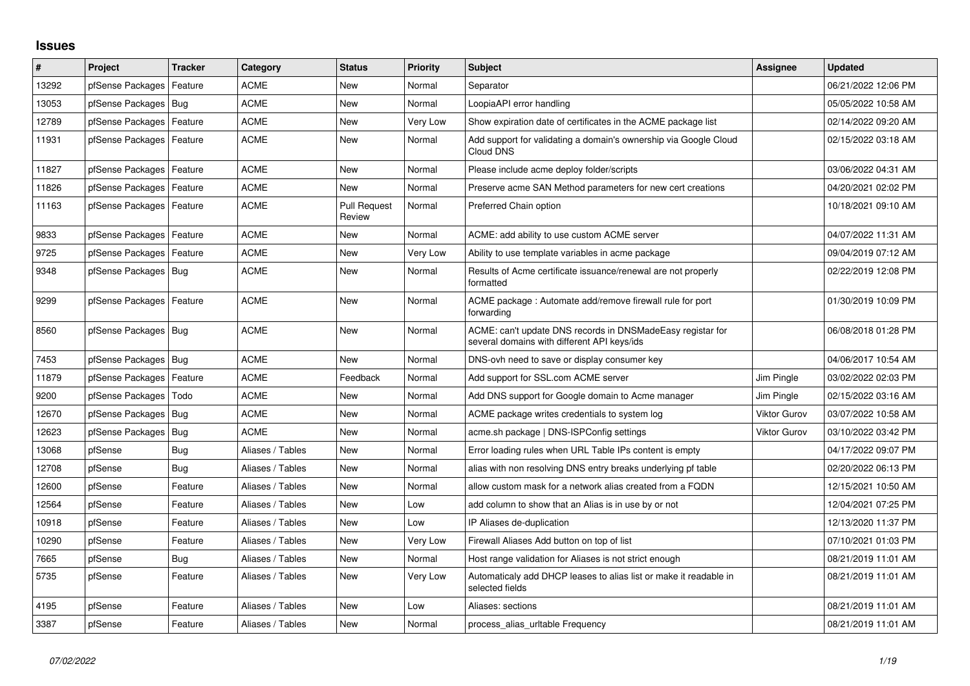## **Issues**

| #     | Project                    | <b>Tracker</b> | Category         | <b>Status</b>                 | <b>Priority</b> | <b>Subject</b>                                                                                            | Assignee            | <b>Updated</b>      |
|-------|----------------------------|----------------|------------------|-------------------------------|-----------------|-----------------------------------------------------------------------------------------------------------|---------------------|---------------------|
| 13292 | pfSense Packages           | Feature        | ACME             | New                           | Normal          | Separator                                                                                                 |                     | 06/21/2022 12:06 PM |
| 13053 | pfSense Packages   Bug     |                | <b>ACME</b>      | <b>New</b>                    | Normal          | LoopiaAPI error handling                                                                                  |                     | 05/05/2022 10:58 AM |
| 12789 | pfSense Packages           | Feature        | ACME             | New                           | Very Low        | Show expiration date of certificates in the ACME package list                                             |                     | 02/14/2022 09:20 AM |
| 11931 | pfSense Packages   Feature |                | <b>ACME</b>      | <b>New</b>                    | Normal          | Add support for validating a domain's ownership via Google Cloud<br>Cloud DNS                             |                     | 02/15/2022 03:18 AM |
| 11827 | pfSense Packages   Feature |                | <b>ACME</b>      | New                           | Normal          | Please include acme deploy folder/scripts                                                                 |                     | 03/06/2022 04:31 AM |
| 11826 | pfSense Packages   Feature |                | <b>ACME</b>      | <b>New</b>                    | Normal          | Preserve acme SAN Method parameters for new cert creations                                                |                     | 04/20/2021 02:02 PM |
| 11163 | pfSense Packages   Feature |                | <b>ACME</b>      | <b>Pull Request</b><br>Review | Normal          | Preferred Chain option                                                                                    |                     | 10/18/2021 09:10 AM |
| 9833  | pfSense Packages   Feature |                | <b>ACME</b>      | New                           | Normal          | ACME: add ability to use custom ACME server                                                               |                     | 04/07/2022 11:31 AM |
| 9725  | pfSense Packages   Feature |                | <b>ACME</b>      | New                           | Very Low        | Ability to use template variables in acme package                                                         |                     | 09/04/2019 07:12 AM |
| 9348  | pfSense Packages   Bug     |                | ACME             | New                           | Normal          | Results of Acme certificate issuance/renewal are not properly<br>formatted                                |                     | 02/22/2019 12:08 PM |
| 9299  | pfSense Packages   Feature |                | <b>ACME</b>      | <b>New</b>                    | Normal          | ACME package : Automate add/remove firewall rule for port<br>forwarding                                   |                     | 01/30/2019 10:09 PM |
| 8560  | pfSense Packages   Bug     |                | <b>ACME</b>      | New                           | Normal          | ACME: can't update DNS records in DNSMadeEasy registar for<br>several domains with different API keys/ids |                     | 06/08/2018 01:28 PM |
| 7453  | pfSense Packages   Bug     |                | <b>ACME</b>      | <b>New</b>                    | Normal          | DNS-ovh need to save or display consumer key                                                              |                     | 04/06/2017 10:54 AM |
| 11879 | pfSense Packages           | Feature        | <b>ACME</b>      | Feedback                      | Normal          | Add support for SSL.com ACME server                                                                       | Jim Pingle          | 03/02/2022 02:03 PM |
| 9200  | pfSense Packages           | Todo           | <b>ACME</b>      | <b>New</b>                    | Normal          | Add DNS support for Google domain to Acme manager                                                         | Jim Pingle          | 02/15/2022 03:16 AM |
| 12670 | pfSense Packages           | l Bug          | <b>ACME</b>      | New                           | Normal          | ACME package writes credentials to system log                                                             | <b>Viktor Gurov</b> | 03/07/2022 10:58 AM |
| 12623 | pfSense Packages   Bug     |                | <b>ACME</b>      | <b>New</b>                    | Normal          | acme.sh package   DNS-ISPConfig settings                                                                  | <b>Viktor Gurov</b> | 03/10/2022 03:42 PM |
| 13068 | pfSense                    | Bug            | Aliases / Tables | New                           | Normal          | Error loading rules when URL Table IPs content is empty                                                   |                     | 04/17/2022 09:07 PM |
| 12708 | pfSense                    | Bug            | Aliases / Tables | New                           | Normal          | alias with non resolving DNS entry breaks underlying pf table                                             |                     | 02/20/2022 06:13 PM |
| 12600 | pfSense                    | Feature        | Aliases / Tables | New                           | Normal          | allow custom mask for a network alias created from a FQDN                                                 |                     | 12/15/2021 10:50 AM |
| 12564 | pfSense                    | Feature        | Aliases / Tables | New                           | Low             | add column to show that an Alias is in use by or not                                                      |                     | 12/04/2021 07:25 PM |
| 10918 | pfSense                    | Feature        | Aliases / Tables | New                           | Low             | IP Aliases de-duplication                                                                                 |                     | 12/13/2020 11:37 PM |
| 10290 | pfSense                    | Feature        | Aliases / Tables | New                           | Very Low        | Firewall Aliases Add button on top of list                                                                |                     | 07/10/2021 01:03 PM |
| 7665  | pfSense                    | Bug            | Aliases / Tables | New                           | Normal          | Host range validation for Aliases is not strict enough                                                    |                     | 08/21/2019 11:01 AM |
| 5735  | pfSense                    | Feature        | Aliases / Tables | New                           | Very Low        | Automaticaly add DHCP leases to alias list or make it readable in<br>selected fields                      |                     | 08/21/2019 11:01 AM |
| 4195  | pfSense                    | Feature        | Aliases / Tables | <b>New</b>                    | Low             | Aliases: sections                                                                                         |                     | 08/21/2019 11:01 AM |
| 3387  | pfSense                    | Feature        | Aliases / Tables | New                           | Normal          | process alias uritable Frequency                                                                          |                     | 08/21/2019 11:01 AM |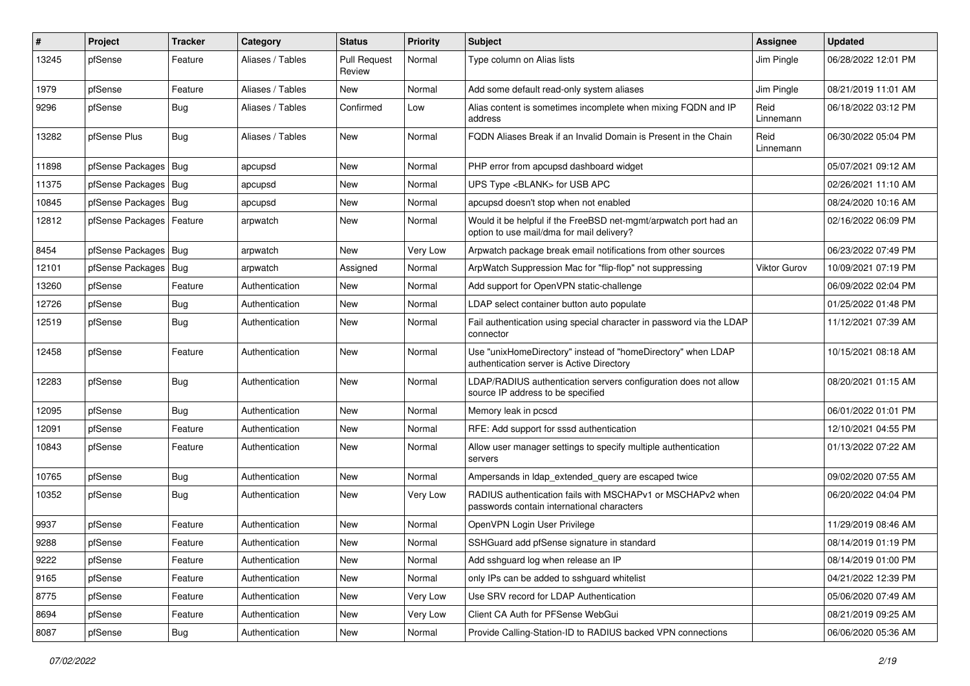| $\pmb{\#}$ | Project                | <b>Tracker</b> | Category         | <b>Status</b>                 | <b>Priority</b> | <b>Subject</b>                                                                                                | Assignee            | <b>Updated</b>      |
|------------|------------------------|----------------|------------------|-------------------------------|-----------------|---------------------------------------------------------------------------------------------------------------|---------------------|---------------------|
| 13245      | pfSense                | Feature        | Aliases / Tables | <b>Pull Request</b><br>Review | Normal          | Type column on Alias lists                                                                                    | Jim Pingle          | 06/28/2022 12:01 PM |
| 1979       | pfSense                | Feature        | Aliases / Tables | New                           | Normal          | Add some default read-only system aliases                                                                     | Jim Pingle          | 08/21/2019 11:01 AM |
| 9296       | pfSense                | <b>Bug</b>     | Aliases / Tables | Confirmed                     | Low             | Alias content is sometimes incomplete when mixing FQDN and IP<br>address                                      | Reid<br>Linnemann   | 06/18/2022 03:12 PM |
| 13282      | pfSense Plus           | Bug            | Aliases / Tables | <b>New</b>                    | Normal          | FQDN Aliases Break if an Invalid Domain is Present in the Chain                                               | Reid<br>Linnemann   | 06/30/2022 05:04 PM |
| 11898      | pfSense Packages       | Bug            | apcupsd          | <b>New</b>                    | Normal          | PHP error from apcupsd dashboard widget                                                                       |                     | 05/07/2021 09:12 AM |
| 11375      | pfSense Packages       | Bug            | apcupsd          | New                           | Normal          | UPS Type <blank> for USB APC</blank>                                                                          |                     | 02/26/2021 11:10 AM |
| 10845      | pfSense Packages   Bug |                | apcupsd          | <b>New</b>                    | Normal          | apcupsd doesn't stop when not enabled                                                                         |                     | 08/24/2020 10:16 AM |
| 12812      | pfSense Packages       | Feature        | arpwatch         | New                           | Normal          | Would it be helpful if the FreeBSD net-mgmt/arpwatch port had an<br>option to use mail/dma for mail delivery? |                     | 02/16/2022 06:09 PM |
| 8454       | pfSense Packages   Bug |                | arpwatch         | <b>New</b>                    | Very Low        | Arpwatch package break email notifications from other sources                                                 |                     | 06/23/2022 07:49 PM |
| 12101      | pfSense Packages       | <b>Bug</b>     | arpwatch         | Assigned                      | Normal          | ArpWatch Suppression Mac for "flip-flop" not suppressing                                                      | <b>Viktor Gurov</b> | 10/09/2021 07:19 PM |
| 13260      | pfSense                | Feature        | Authentication   | New                           | Normal          | Add support for OpenVPN static-challenge                                                                      |                     | 06/09/2022 02:04 PM |
| 12726      | pfSense                | Bug            | Authentication   | New                           | Normal          | LDAP select container button auto populate                                                                    |                     | 01/25/2022 01:48 PM |
| 12519      | pfSense                | Bug            | Authentication   | <b>New</b>                    | Normal          | Fail authentication using special character in password via the LDAP<br>connector                             |                     | 11/12/2021 07:39 AM |
| 12458      | pfSense                | Feature        | Authentication   | <b>New</b>                    | Normal          | Use "unixHomeDirectory" instead of "homeDirectory" when LDAP<br>authentication server is Active Directory     |                     | 10/15/2021 08:18 AM |
| 12283      | pfSense                | Bug            | Authentication   | <b>New</b>                    | Normal          | LDAP/RADIUS authentication servers configuration does not allow<br>source IP address to be specified          |                     | 08/20/2021 01:15 AM |
| 12095      | pfSense                | <b>Bug</b>     | Authentication   | <b>New</b>                    | Normal          | Memory leak in pcscd                                                                                          |                     | 06/01/2022 01:01 PM |
| 12091      | pfSense                | Feature        | Authentication   | <b>New</b>                    | Normal          | RFE: Add support for sssd authentication                                                                      |                     | 12/10/2021 04:55 PM |
| 10843      | pfSense                | Feature        | Authentication   | New                           | Normal          | Allow user manager settings to specify multiple authentication<br>servers                                     |                     | 01/13/2022 07:22 AM |
| 10765      | pfSense                | Bug            | Authentication   | New                           | Normal          | Ampersands in Idap extended query are escaped twice                                                           |                     | 09/02/2020 07:55 AM |
| 10352      | pfSense                | Bug            | Authentication   | New                           | Very Low        | RADIUS authentication fails with MSCHAPv1 or MSCHAPv2 when<br>passwords contain international characters      |                     | 06/20/2022 04:04 PM |
| 9937       | pfSense                | Feature        | Authentication   | New                           | Normal          | OpenVPN Login User Privilege                                                                                  |                     | 11/29/2019 08:46 AM |
| 9288       | pfSense                | Feature        | Authentication   | New                           | Normal          | SSHGuard add pfSense signature in standard                                                                    |                     | 08/14/2019 01:19 PM |
| 9222       | pfSense                | Feature        | Authentication   | New                           | Normal          | Add sshguard log when release an IP                                                                           |                     | 08/14/2019 01:00 PM |
| 9165       | pfSense                | Feature        | Authentication   | New                           | Normal          | only IPs can be added to sshguard whitelist                                                                   |                     | 04/21/2022 12:39 PM |
| 8775       | pfSense                | Feature        | Authentication   | New                           | Very Low        | Use SRV record for LDAP Authentication                                                                        |                     | 05/06/2020 07:49 AM |
| 8694       | pfSense                | Feature        | Authentication   | New                           | Very Low        | Client CA Auth for PFSense WebGui                                                                             |                     | 08/21/2019 09:25 AM |
| 8087       | pfSense                | Bug            | Authentication   | New                           | Normal          | Provide Calling-Station-ID to RADIUS backed VPN connections                                                   |                     | 06/06/2020 05:36 AM |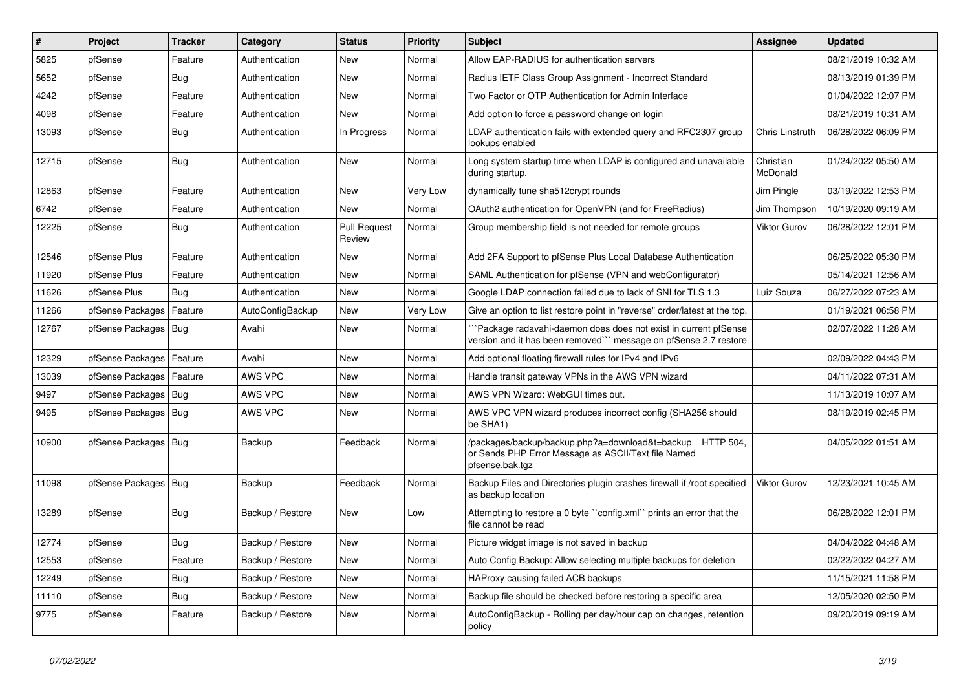| ∦     | Project                    | <b>Tracker</b> | Category         | <b>Status</b>                 | <b>Priority</b> | <b>Subject</b>                                                                                                                      | <b>Assignee</b>       | <b>Updated</b>      |
|-------|----------------------------|----------------|------------------|-------------------------------|-----------------|-------------------------------------------------------------------------------------------------------------------------------------|-----------------------|---------------------|
| 5825  | pfSense                    | Feature        | Authentication   | <b>New</b>                    | Normal          | Allow EAP-RADIUS for authentication servers                                                                                         |                       | 08/21/2019 10:32 AM |
| 5652  | pfSense                    | Bug            | Authentication   | <b>New</b>                    | Normal          | Radius IETF Class Group Assignment - Incorrect Standard                                                                             |                       | 08/13/2019 01:39 PM |
| 4242  | pfSense                    | Feature        | Authentication   | New                           | Normal          | Two Factor or OTP Authentication for Admin Interface                                                                                |                       | 01/04/2022 12:07 PM |
| 4098  | pfSense                    | Feature        | Authentication   | New                           | Normal          | Add option to force a password change on login                                                                                      |                       | 08/21/2019 10:31 AM |
| 13093 | pfSense                    | Bug            | Authentication   | In Progress                   | Normal          | LDAP authentication fails with extended query and RFC2307 group<br>lookups enabled                                                  | Chris Linstruth       | 06/28/2022 06:09 PM |
| 12715 | pfSense                    | Bug            | Authentication   | <b>New</b>                    | Normal          | Long system startup time when LDAP is configured and unavailable<br>during startup.                                                 | Christian<br>McDonald | 01/24/2022 05:50 AM |
| 12863 | pfSense                    | Feature        | Authentication   | <b>New</b>                    | Very Low        | dynamically tune sha512crypt rounds                                                                                                 | Jim Pingle            | 03/19/2022 12:53 PM |
| 6742  | pfSense                    | Feature        | Authentication   | <b>New</b>                    | Normal          | OAuth2 authentication for OpenVPN (and for FreeRadius)                                                                              | Jim Thompson          | 10/19/2020 09:19 AM |
| 12225 | pfSense                    | Bug            | Authentication   | <b>Pull Request</b><br>Review | Normal          | Group membership field is not needed for remote groups                                                                              | <b>Viktor Gurov</b>   | 06/28/2022 12:01 PM |
| 12546 | pfSense Plus               | Feature        | Authentication   | New                           | Normal          | Add 2FA Support to pfSense Plus Local Database Authentication                                                                       |                       | 06/25/2022 05:30 PM |
| 11920 | pfSense Plus               | Feature        | Authentication   | New                           | Normal          | SAML Authentication for pfSense (VPN and webConfigurator)                                                                           |                       | 05/14/2021 12:56 AM |
| 11626 | pfSense Plus               | Bug            | Authentication   | New                           | Normal          | Google LDAP connection failed due to lack of SNI for TLS 1.3                                                                        | Luiz Souza            | 06/27/2022 07:23 AM |
| 11266 | pfSense Packages           | Feature        | AutoConfigBackup | New                           | Very Low        | Give an option to list restore point in "reverse" order/latest at the top.                                                          |                       | 01/19/2021 06:58 PM |
| 12767 | pfSense Packages   Bug     |                | Avahi            | New                           | Normal          | Package radavahi-daemon does does not exist in current pfSense<br>version and it has been removed"" message on pfSense 2.7 restore  |                       | 02/07/2022 11:28 AM |
| 12329 | pfSense Packages   Feature |                | Avahi            | <b>New</b>                    | Normal          | Add optional floating firewall rules for IPv4 and IPv6                                                                              |                       | 02/09/2022 04:43 PM |
| 13039 | pfSense Packages   Feature |                | AWS VPC          | New                           | Normal          | Handle transit gateway VPNs in the AWS VPN wizard                                                                                   |                       | 04/11/2022 07:31 AM |
| 9497  | pfSense Packages   Bug     |                | <b>AWS VPC</b>   | <b>New</b>                    | Normal          | AWS VPN Wizard: WebGUI times out.                                                                                                   |                       | 11/13/2019 10:07 AM |
| 9495  | pfSense Packages   Bug     |                | AWS VPC          | New                           | Normal          | AWS VPC VPN wizard produces incorrect config (SHA256 should<br>be SHA1)                                                             |                       | 08/19/2019 02:45 PM |
| 10900 | pfSense Packages   Bug     |                | Backup           | Feedback                      | Normal          | /packages/backup/backup.php?a=download&t=backup HTTP 504,<br>or Sends PHP Error Message as ASCII/Text file Named<br>pfsense.bak.tgz |                       | 04/05/2022 01:51 AM |
| 11098 | pfSense Packages   Bug     |                | Backup           | Feedback                      | Normal          | Backup Files and Directories plugin crashes firewall if /root specified<br>as backup location                                       | <b>Viktor Gurov</b>   | 12/23/2021 10:45 AM |
| 13289 | pfSense                    | Bug            | Backup / Restore | New                           | Low             | Attempting to restore a 0 byte "config.xml" prints an error that the<br>file cannot be read                                         |                       | 06/28/2022 12:01 PM |
| 12774 | pfSense                    | Bug            | Backup / Restore | <b>New</b>                    | Normal          | Picture widget image is not saved in backup                                                                                         |                       | 04/04/2022 04:48 AM |
| 12553 | pfSense                    | Feature        | Backup / Restore | New                           | Normal          | Auto Config Backup: Allow selecting multiple backups for deletion                                                                   |                       | 02/22/2022 04:27 AM |
| 12249 | pfSense                    | Bug            | Backup / Restore | New                           | Normal          | HAProxy causing failed ACB backups                                                                                                  |                       | 11/15/2021 11:58 PM |
| 11110 | pfSense                    | Bug            | Backup / Restore | New                           | Normal          | Backup file should be checked before restoring a specific area                                                                      |                       | 12/05/2020 02:50 PM |
| 9775  | pfSense                    | Feature        | Backup / Restore | New                           | Normal          | AutoConfigBackup - Rolling per day/hour cap on changes, retention<br>policy                                                         |                       | 09/20/2019 09:19 AM |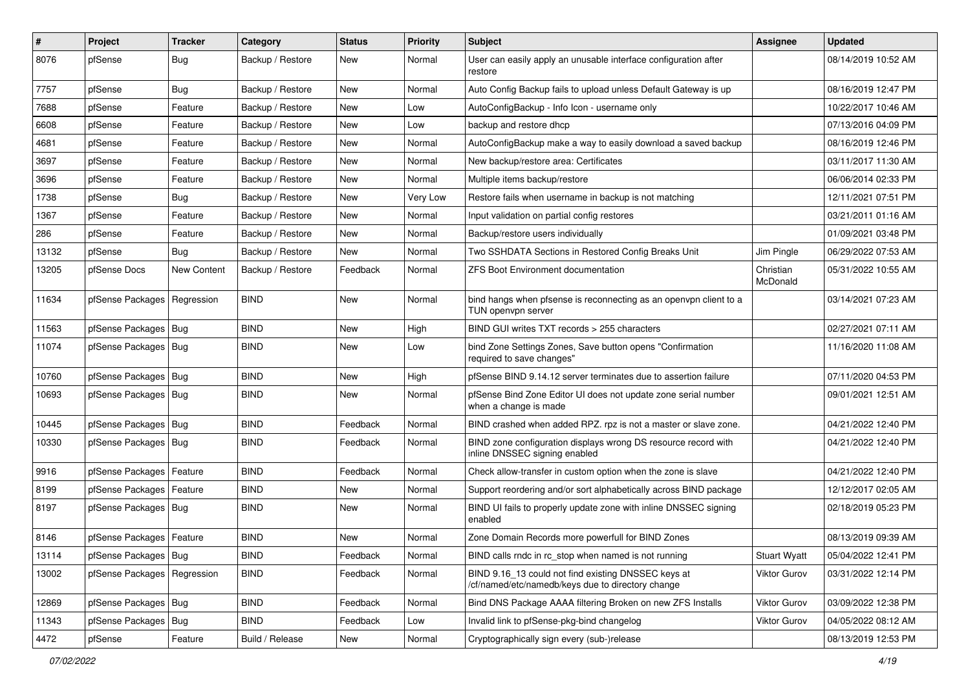| #     | Project                       | <b>Tracker</b> | Category         | <b>Status</b> | <b>Priority</b> | Subject                                                                                                  | <b>Assignee</b>       | <b>Updated</b>      |
|-------|-------------------------------|----------------|------------------|---------------|-----------------|----------------------------------------------------------------------------------------------------------|-----------------------|---------------------|
| 8076  | pfSense                       | <b>Bug</b>     | Backup / Restore | New           | Normal          | User can easily apply an unusable interface configuration after<br>restore                               |                       | 08/14/2019 10:52 AM |
| 7757  | pfSense                       | <b>Bug</b>     | Backup / Restore | New           | Normal          | Auto Config Backup fails to upload unless Default Gateway is up                                          |                       | 08/16/2019 12:47 PM |
| 7688  | pfSense                       | Feature        | Backup / Restore | <b>New</b>    | Low             | AutoConfigBackup - Info Icon - username only                                                             |                       | 10/22/2017 10:46 AM |
| 6608  | pfSense                       | Feature        | Backup / Restore | New           | Low             | backup and restore dhcp                                                                                  |                       | 07/13/2016 04:09 PM |
| 4681  | pfSense                       | Feature        | Backup / Restore | New           | Normal          | AutoConfigBackup make a way to easily download a saved backup                                            |                       | 08/16/2019 12:46 PM |
| 3697  | pfSense                       | Feature        | Backup / Restore | New           | Normal          | New backup/restore area: Certificates                                                                    |                       | 03/11/2017 11:30 AM |
| 3696  | pfSense                       | Feature        | Backup / Restore | New           | Normal          | Multiple items backup/restore                                                                            |                       | 06/06/2014 02:33 PM |
| 1738  | pfSense                       | <b>Bug</b>     | Backup / Restore | New           | Very Low        | Restore fails when username in backup is not matching                                                    |                       | 12/11/2021 07:51 PM |
| 1367  | pfSense                       | Feature        | Backup / Restore | New           | Normal          | Input validation on partial config restores                                                              |                       | 03/21/2011 01:16 AM |
| 286   | pfSense                       | Feature        | Backup / Restore | New           | Normal          | Backup/restore users individually                                                                        |                       | 01/09/2021 03:48 PM |
| 13132 | pfSense                       | <b>Bug</b>     | Backup / Restore | New           | Normal          | Two SSHDATA Sections in Restored Config Breaks Unit                                                      | Jim Pingle            | 06/29/2022 07:53 AM |
| 13205 | pfSense Docs                  | New Content    | Backup / Restore | Feedback      | Normal          | ZFS Boot Environment documentation                                                                       | Christian<br>McDonald | 05/31/2022 10:55 AM |
| 11634 | pfSense Packages   Regression |                | <b>BIND</b>      | New           | Normal          | bind hangs when pfsense is reconnecting as an openvpn client to a<br>TUN openvpn server                  |                       | 03/14/2021 07:23 AM |
| 11563 | pfSense Packages   Bug        |                | <b>BIND</b>      | <b>New</b>    | High            | BIND GUI writes TXT records > 255 characters                                                             |                       | 02/27/2021 07:11 AM |
| 11074 | pfSense Packages   Bug        |                | <b>BIND</b>      | New           | Low             | bind Zone Settings Zones, Save button opens "Confirmation<br>required to save changes"                   |                       | 11/16/2020 11:08 AM |
| 10760 | pfSense Packages   Bug        |                | <b>BIND</b>      | <b>New</b>    | High            | pfSense BIND 9.14.12 server terminates due to assertion failure                                          |                       | 07/11/2020 04:53 PM |
| 10693 | pfSense Packages   Bug        |                | <b>BIND</b>      | New           | Normal          | pfSense Bind Zone Editor UI does not update zone serial number<br>when a change is made                  |                       | 09/01/2021 12:51 AM |
| 10445 | pfSense Packages   Bug        |                | <b>BIND</b>      | Feedback      | Normal          | BIND crashed when added RPZ. rpz is not a master or slave zone.                                          |                       | 04/21/2022 12:40 PM |
| 10330 | pfSense Packages   Bug        |                | <b>BIND</b>      | Feedback      | Normal          | BIND zone configuration displays wrong DS resource record with<br>inline DNSSEC signing enabled          |                       | 04/21/2022 12:40 PM |
| 9916  | pfSense Packages              | Feature        | <b>BIND</b>      | Feedback      | Normal          | Check allow-transfer in custom option when the zone is slave                                             |                       | 04/21/2022 12:40 PM |
| 8199  | pfSense Packages              | Feature        | <b>BIND</b>      | New           | Normal          | Support reordering and/or sort alphabetically across BIND package                                        |                       | 12/12/2017 02:05 AM |
| 8197  | pfSense Packages   Bug        |                | <b>BIND</b>      | <b>New</b>    | Normal          | BIND UI fails to properly update zone with inline DNSSEC signing<br>enabled                              |                       | 02/18/2019 05:23 PM |
| 8146  | pfSense Packages   Feature    |                | <b>BIND</b>      | New           | Normal          | Zone Domain Records more powerfull for BIND Zones                                                        |                       | 08/13/2019 09:39 AM |
| 13114 | pfSense Packages   Bug        |                | <b>BIND</b>      | Feedback      | Normal          | BIND calls rndc in rc_stop when named is not running                                                     | <b>Stuart Wyatt</b>   | 05/04/2022 12:41 PM |
| 13002 | pfSense Packages              | Regression     | <b>BIND</b>      | Feedback      | Normal          | BIND 9.16 13 could not find existing DNSSEC keys at<br>/cf/named/etc/namedb/keys due to directory change | Viktor Gurov          | 03/31/2022 12:14 PM |
| 12869 | pfSense Packages   Bug        |                | <b>BIND</b>      | Feedback      | Normal          | Bind DNS Package AAAA filtering Broken on new ZFS Installs                                               | Viktor Gurov          | 03/09/2022 12:38 PM |
| 11343 | pfSense Packages              | Bug            | <b>BIND</b>      | Feedback      | Low             | Invalid link to pfSense-pkg-bind changelog                                                               | Viktor Gurov          | 04/05/2022 08:12 AM |
| 4472  | pfSense                       | Feature        | Build / Release  | New           | Normal          | Cryptographically sign every (sub-)release                                                               |                       | 08/13/2019 12:53 PM |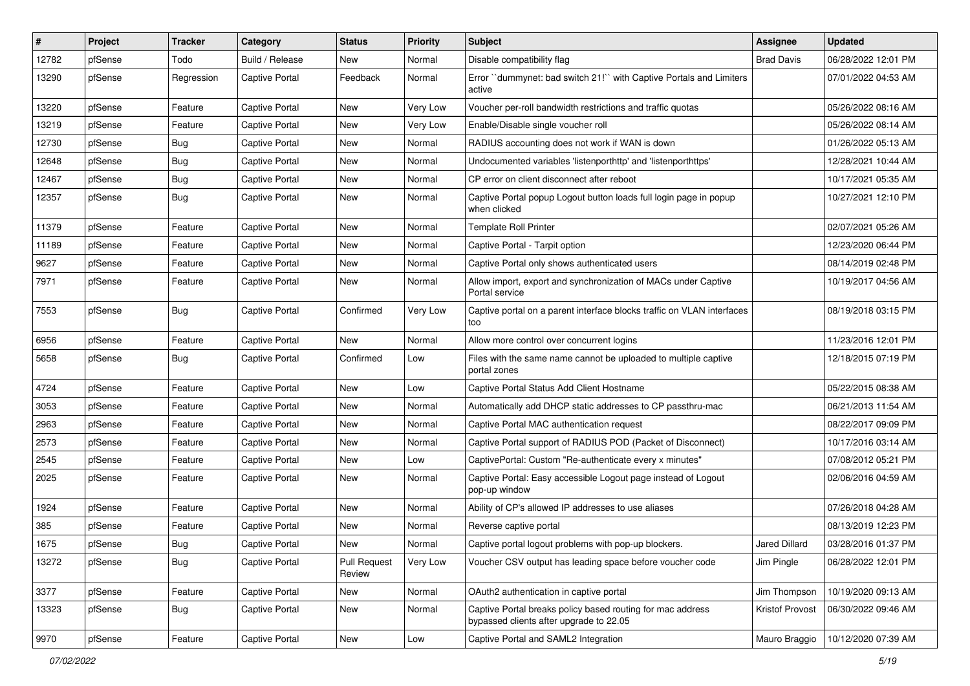| #     | Project | <b>Tracker</b> | Category              | <b>Status</b>                 | <b>Priority</b> | <b>Subject</b>                                                                                        | <b>Assignee</b>   | <b>Updated</b>      |
|-------|---------|----------------|-----------------------|-------------------------------|-----------------|-------------------------------------------------------------------------------------------------------|-------------------|---------------------|
| 12782 | pfSense | Todo           | Build / Release       | New                           | Normal          | Disable compatibility flag                                                                            | <b>Brad Davis</b> | 06/28/2022 12:01 PM |
| 13290 | pfSense | Regression     | Captive Portal        | Feedback                      | Normal          | Error "dummynet: bad switch 21!" with Captive Portals and Limiters<br>active                          |                   | 07/01/2022 04:53 AM |
| 13220 | pfSense | Feature        | Captive Portal        | <b>New</b>                    | Very Low        | Voucher per-roll bandwidth restrictions and traffic quotas                                            |                   | 05/26/2022 08:16 AM |
| 13219 | pfSense | Feature        | <b>Captive Portal</b> | <b>New</b>                    | Very Low        | Enable/Disable single voucher roll                                                                    |                   | 05/26/2022 08:14 AM |
| 12730 | pfSense | Bug            | Captive Portal        | New                           | Normal          | RADIUS accounting does not work if WAN is down                                                        |                   | 01/26/2022 05:13 AM |
| 12648 | pfSense | <b>Bug</b>     | <b>Captive Portal</b> | New                           | Normal          | Undocumented variables 'listenporthttp' and 'listenporthttps'                                         |                   | 12/28/2021 10:44 AM |
| 12467 | pfSense | Bug            | <b>Captive Portal</b> | New                           | Normal          | CP error on client disconnect after reboot                                                            |                   | 10/17/2021 05:35 AM |
| 12357 | pfSense | Bug            | <b>Captive Portal</b> | New                           | Normal          | Captive Portal popup Logout button loads full login page in popup<br>when clicked                     |                   | 10/27/2021 12:10 PM |
| 11379 | pfSense | Feature        | Captive Portal        | New                           | Normal          | <b>Template Roll Printer</b>                                                                          |                   | 02/07/2021 05:26 AM |
| 11189 | pfSense | Feature        | <b>Captive Portal</b> | New                           | Normal          | Captive Portal - Tarpit option                                                                        |                   | 12/23/2020 06:44 PM |
| 9627  | pfSense | Feature        | <b>Captive Portal</b> | <b>New</b>                    | Normal          | Captive Portal only shows authenticated users                                                         |                   | 08/14/2019 02:48 PM |
| 7971  | pfSense | Feature        | <b>Captive Portal</b> | New                           | Normal          | Allow import, export and synchronization of MACs under Captive<br>Portal service                      |                   | 10/19/2017 04:56 AM |
| 7553  | pfSense | Bug            | <b>Captive Portal</b> | Confirmed                     | Very Low        | Captive portal on a parent interface blocks traffic on VLAN interfaces<br>too                         |                   | 08/19/2018 03:15 PM |
| 6956  | pfSense | Feature        | <b>Captive Portal</b> | <b>New</b>                    | Normal          | Allow more control over concurrent logins                                                             |                   | 11/23/2016 12:01 PM |
| 5658  | pfSense | Bug            | <b>Captive Portal</b> | Confirmed                     | Low             | Files with the same name cannot be uploaded to multiple captive<br>portal zones                       |                   | 12/18/2015 07:19 PM |
| 4724  | pfSense | Feature        | Captive Portal        | <b>New</b>                    | Low             | Captive Portal Status Add Client Hostname                                                             |                   | 05/22/2015 08:38 AM |
| 3053  | pfSense | Feature        | Captive Portal        | New                           | Normal          | Automatically add DHCP static addresses to CP passthru-mac                                            |                   | 06/21/2013 11:54 AM |
| 2963  | pfSense | Feature        | <b>Captive Portal</b> | New                           | Normal          | Captive Portal MAC authentication request                                                             |                   | 08/22/2017 09:09 PM |
| 2573  | pfSense | Feature        | <b>Captive Portal</b> | <b>New</b>                    | Normal          | Captive Portal support of RADIUS POD (Packet of Disconnect)                                           |                   | 10/17/2016 03:14 AM |
| 2545  | pfSense | Feature        | <b>Captive Portal</b> | New                           | Low             | CaptivePortal: Custom "Re-authenticate every x minutes"                                               |                   | 07/08/2012 05:21 PM |
| 2025  | pfSense | Feature        | <b>Captive Portal</b> | New                           | Normal          | Captive Portal: Easy accessible Logout page instead of Logout<br>pop-up window                        |                   | 02/06/2016 04:59 AM |
| 1924  | pfSense | Feature        | Captive Portal        | <b>New</b>                    | Normal          | Ability of CP's allowed IP addresses to use aliases                                                   |                   | 07/26/2018 04:28 AM |
| 385   | pfSense | Feature        | Captive Portal        | <b>New</b>                    | Normal          | Reverse captive portal                                                                                |                   | 08/13/2019 12:23 PM |
| 1675  | pfSense | <b>Bug</b>     | Captive Portal        | New                           | Normal          | Captive portal logout problems with pop-up blockers.                                                  | Jared Dillard     | 03/28/2016 01:37 PM |
| 13272 | pfSense | <b>Bug</b>     | Captive Portal        | <b>Pull Request</b><br>Review | Very Low        | Voucher CSV output has leading space before voucher code                                              | Jim Pingle        | 06/28/2022 12:01 PM |
| 3377  | pfSense | Feature        | Captive Portal        | New                           | Normal          | OAuth2 authentication in captive portal                                                               | Jim Thompson      | 10/19/2020 09:13 AM |
| 13323 | pfSense | Bug            | Captive Portal        | New                           | Normal          | Captive Portal breaks policy based routing for mac address<br>bypassed clients after upgrade to 22.05 | Kristof Provost   | 06/30/2022 09:46 AM |
| 9970  | pfSense | Feature        | Captive Portal        | New                           | Low             | Captive Portal and SAML2 Integration                                                                  | Mauro Braggio     | 10/12/2020 07:39 AM |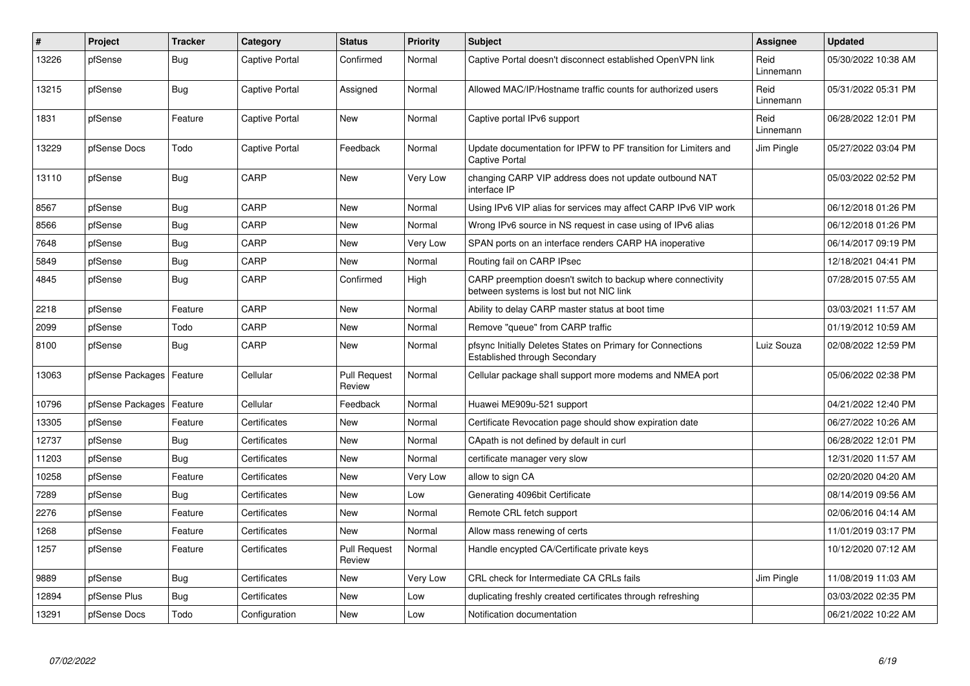| $\vert$ # | Project          | <b>Tracker</b> | Category              | <b>Status</b>                 | <b>Priority</b> | <b>Subject</b>                                                                                          | <b>Assignee</b>   | <b>Updated</b>      |
|-----------|------------------|----------------|-----------------------|-------------------------------|-----------------|---------------------------------------------------------------------------------------------------------|-------------------|---------------------|
| 13226     | pfSense          | Bug            | Captive Portal        | Confirmed                     | Normal          | Captive Portal doesn't disconnect established OpenVPN link                                              | Reid<br>Linnemann | 05/30/2022 10:38 AM |
| 13215     | pfSense          | Bug            | <b>Captive Portal</b> | Assigned                      | Normal          | Allowed MAC/IP/Hostname traffic counts for authorized users                                             | Reid<br>Linnemann | 05/31/2022 05:31 PM |
| 1831      | pfSense          | Feature        | Captive Portal        | New                           | Normal          | Captive portal IPv6 support                                                                             | Reid<br>Linnemann | 06/28/2022 12:01 PM |
| 13229     | pfSense Docs     | Todo           | Captive Portal        | Feedback                      | Normal          | Update documentation for IPFW to PF transition for Limiters and<br><b>Captive Portal</b>                | Jim Pingle        | 05/27/2022 03:04 PM |
| 13110     | pfSense          | <b>Bug</b>     | CARP                  | <b>New</b>                    | Very Low        | changing CARP VIP address does not update outbound NAT<br>interface IP                                  |                   | 05/03/2022 02:52 PM |
| 8567      | pfSense          | Bug            | CARP                  | <b>New</b>                    | Normal          | Using IPv6 VIP alias for services may affect CARP IPv6 VIP work                                         |                   | 06/12/2018 01:26 PM |
| 8566      | pfSense          | Bug            | CARP                  | <b>New</b>                    | Normal          | Wrong IPv6 source in NS request in case using of IPv6 alias                                             |                   | 06/12/2018 01:26 PM |
| 7648      | pfSense          | Bug            | CARP                  | New                           | Very Low        | SPAN ports on an interface renders CARP HA inoperative                                                  |                   | 06/14/2017 09:19 PM |
| 5849      | pfSense          | <b>Bug</b>     | CARP                  | <b>New</b>                    | Normal          | Routing fail on CARP IPsec                                                                              |                   | 12/18/2021 04:41 PM |
| 4845      | pfSense          | Bug            | CARP                  | Confirmed                     | High            | CARP preemption doesn't switch to backup where connectivity<br>between systems is lost but not NIC link |                   | 07/28/2015 07:55 AM |
| 2218      | pfSense          | Feature        | CARP                  | <b>New</b>                    | Normal          | Ability to delay CARP master status at boot time                                                        |                   | 03/03/2021 11:57 AM |
| 2099      | pfSense          | Todo           | CARP                  | New                           | Normal          | Remove "queue" from CARP traffic                                                                        |                   | 01/19/2012 10:59 AM |
| 8100      | pfSense          | Bug            | CARP                  | <b>New</b>                    | Normal          | pfsync Initially Deletes States on Primary for Connections<br><b>Established through Secondary</b>      | Luiz Souza        | 02/08/2022 12:59 PM |
| 13063     | pfSense Packages | Feature        | Cellular              | <b>Pull Request</b><br>Review | Normal          | Cellular package shall support more modems and NMEA port                                                |                   | 05/06/2022 02:38 PM |
| 10796     | pfSense Packages | Feature        | Cellular              | Feedback                      | Normal          | Huawei ME909u-521 support                                                                               |                   | 04/21/2022 12:40 PM |
| 13305     | pfSense          | Feature        | Certificates          | New                           | Normal          | Certificate Revocation page should show expiration date                                                 |                   | 06/27/2022 10:26 AM |
| 12737     | pfSense          | <b>Bug</b>     | Certificates          | <b>New</b>                    | Normal          | CApath is not defined by default in curl                                                                |                   | 06/28/2022 12:01 PM |
| 11203     | pfSense          | Bug            | Certificates          | <b>New</b>                    | Normal          | certificate manager very slow                                                                           |                   | 12/31/2020 11:57 AM |
| 10258     | pfSense          | Feature        | Certificates          | <b>New</b>                    | Very Low        | allow to sign CA                                                                                        |                   | 02/20/2020 04:20 AM |
| 7289      | pfSense          | <b>Bug</b>     | Certificates          | <b>New</b>                    | Low             | Generating 4096bit Certificate                                                                          |                   | 08/14/2019 09:56 AM |
| 2276      | pfSense          | Feature        | Certificates          | New                           | Normal          | Remote CRL fetch support                                                                                |                   | 02/06/2016 04:14 AM |
| 1268      | pfSense          | Feature        | Certificates          | New                           | Normal          | Allow mass renewing of certs                                                                            |                   | 11/01/2019 03:17 PM |
| 1257      | pfSense          | Feature        | Certificates          | <b>Pull Request</b><br>Review | Normal          | Handle encypted CA/Certificate private keys                                                             |                   | 10/12/2020 07:12 AM |
| 9889      | pfSense          | <b>Bug</b>     | Certificates          | New                           | Very Low        | CRL check for Intermediate CA CRLs fails                                                                | Jim Pingle        | 11/08/2019 11:03 AM |
| 12894     | pfSense Plus     | Bug            | Certificates          | New                           | Low             | duplicating freshly created certificates through refreshing                                             |                   | 03/03/2022 02:35 PM |
| 13291     | pfSense Docs     | Todo           | Configuration         | <b>New</b>                    | Low             | Notification documentation                                                                              |                   | 06/21/2022 10:22 AM |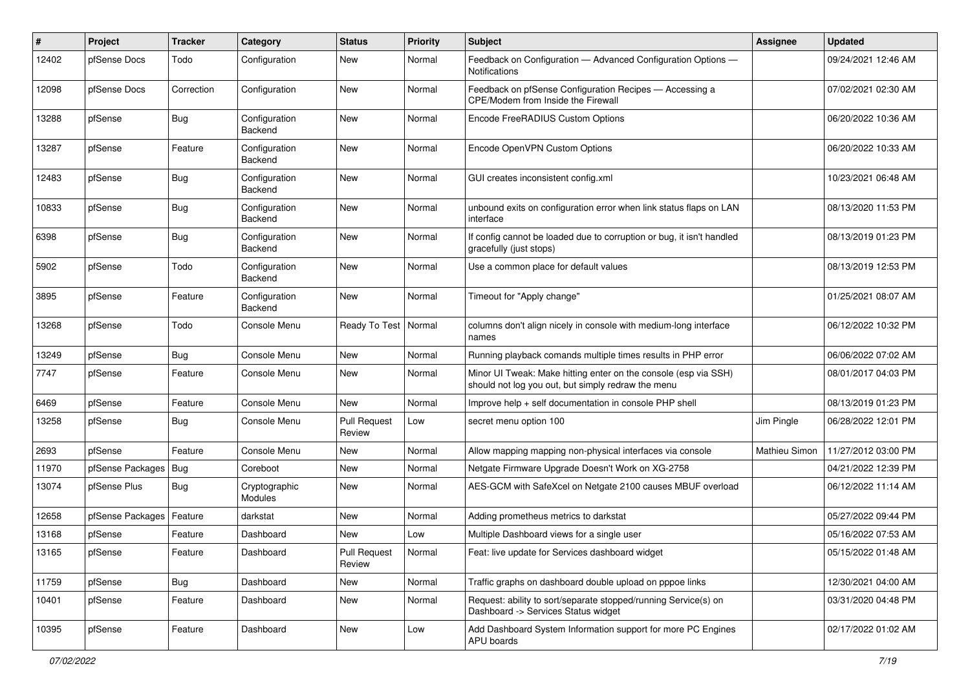| ∦     | Project          | <b>Tracker</b> | Category                 | <b>Status</b>                 | <b>Priority</b> | Subject                                                                                                               | <b>Assignee</b> | <b>Updated</b>      |
|-------|------------------|----------------|--------------------------|-------------------------------|-----------------|-----------------------------------------------------------------------------------------------------------------------|-----------------|---------------------|
| 12402 | pfSense Docs     | Todo           | Configuration            | New                           | Normal          | Feedback on Configuration - Advanced Configuration Options -<br><b>Notifications</b>                                  |                 | 09/24/2021 12:46 AM |
| 12098 | pfSense Docs     | Correction     | Configuration            | <b>New</b>                    | Normal          | Feedback on pfSense Configuration Recipes - Accessing a<br>CPE/Modem from Inside the Firewall                         |                 | 07/02/2021 02:30 AM |
| 13288 | pfSense          | <b>Bug</b>     | Configuration<br>Backend | <b>New</b>                    | Normal          | Encode FreeRADIUS Custom Options                                                                                      |                 | 06/20/2022 10:36 AM |
| 13287 | pfSense          | Feature        | Configuration<br>Backend | <b>New</b>                    | Normal          | Encode OpenVPN Custom Options                                                                                         |                 | 06/20/2022 10:33 AM |
| 12483 | pfSense          | <b>Bug</b>     | Configuration<br>Backend | <b>New</b>                    | Normal          | GUI creates inconsistent config.xml                                                                                   |                 | 10/23/2021 06:48 AM |
| 10833 | pfSense          | <b>Bug</b>     | Configuration<br>Backend | <b>New</b>                    | Normal          | unbound exits on configuration error when link status flaps on LAN<br>interface                                       |                 | 08/13/2020 11:53 PM |
| 6398  | pfSense          | Bug            | Configuration<br>Backend | <b>New</b>                    | Normal          | If config cannot be loaded due to corruption or bug, it isn't handled<br>gracefully (just stops)                      |                 | 08/13/2019 01:23 PM |
| 5902  | pfSense          | Todo           | Configuration<br>Backend | <b>New</b>                    | Normal          | Use a common place for default values                                                                                 |                 | 08/13/2019 12:53 PM |
| 3895  | pfSense          | Feature        | Configuration<br>Backend | <b>New</b>                    | Normal          | Timeout for "Apply change"                                                                                            |                 | 01/25/2021 08:07 AM |
| 13268 | pfSense          | Todo           | Console Menu             | Ready To Test                 | Normal          | columns don't align nicely in console with medium-long interface<br>names                                             |                 | 06/12/2022 10:32 PM |
| 13249 | pfSense          | <b>Bug</b>     | Console Menu             | <b>New</b>                    | Normal          | Running playback comands multiple times results in PHP error                                                          |                 | 06/06/2022 07:02 AM |
| 7747  | pfSense          | Feature        | Console Menu             | New                           | Normal          | Minor UI Tweak: Make hitting enter on the console (esp via SSH)<br>should not log you out, but simply redraw the menu |                 | 08/01/2017 04:03 PM |
| 6469  | pfSense          | Feature        | Console Menu             | <b>New</b>                    | Normal          | Improve help + self documentation in console PHP shell                                                                |                 | 08/13/2019 01:23 PM |
| 13258 | pfSense          | Bug            | Console Menu             | <b>Pull Request</b><br>Review | Low             | secret menu option 100                                                                                                | Jim Pingle      | 06/28/2022 12:01 PM |
| 2693  | pfSense          | Feature        | Console Menu             | <b>New</b>                    | Normal          | Allow mapping mapping non-physical interfaces via console                                                             | Mathieu Simon   | 11/27/2012 03:00 PM |
| 11970 | pfSense Packages | Bug            | Coreboot                 | New                           | Normal          | Netgate Firmware Upgrade Doesn't Work on XG-2758                                                                      |                 | 04/21/2022 12:39 PM |
| 13074 | pfSense Plus     | Bug            | Cryptographic<br>Modules | New                           | Normal          | AES-GCM with SafeXcel on Netgate 2100 causes MBUF overload                                                            |                 | 06/12/2022 11:14 AM |
| 12658 | pfSense Packages | Feature        | darkstat                 | <b>New</b>                    | Normal          | Adding prometheus metrics to darkstat                                                                                 |                 | 05/27/2022 09:44 PM |
| 13168 | pfSense          | Feature        | Dashboard                | <b>New</b>                    | Low             | Multiple Dashboard views for a single user                                                                            |                 | 05/16/2022 07:53 AM |
| 13165 | pfSense          | Feature        | Dashboard                | <b>Pull Request</b><br>Review | Normal          | Feat: live update for Services dashboard widget                                                                       |                 | 05/15/2022 01:48 AM |
| 11759 | pfSense          | <b>Bug</b>     | Dashboard                | New                           | Normal          | Traffic graphs on dashboard double upload on pppoe links                                                              |                 | 12/30/2021 04:00 AM |
| 10401 | pfSense          | Feature        | Dashboard                | New                           | Normal          | Request: ability to sort/separate stopped/running Service(s) on<br>Dashboard -> Services Status widget                |                 | 03/31/2020 04:48 PM |
| 10395 | pfSense          | Feature        | Dashboard                | New                           | Low             | Add Dashboard System Information support for more PC Engines<br><b>APU</b> boards                                     |                 | 02/17/2022 01:02 AM |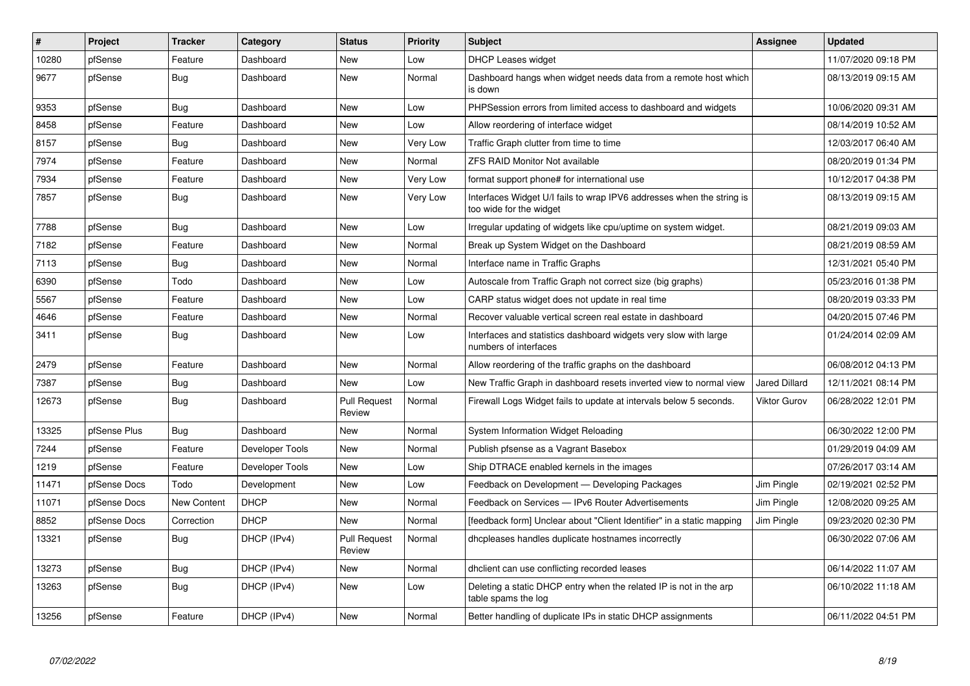| $\vert$ # | Project      | <b>Tracker</b>     | Category        | <b>Status</b>                 | <b>Priority</b> | <b>Subject</b>                                                                                   | Assignee             | <b>Updated</b>      |
|-----------|--------------|--------------------|-----------------|-------------------------------|-----------------|--------------------------------------------------------------------------------------------------|----------------------|---------------------|
| 10280     | pfSense      | Feature            | Dashboard       | <b>New</b>                    | Low             | <b>DHCP Leases widget</b>                                                                        |                      | 11/07/2020 09:18 PM |
| 9677      | pfSense      | Bug                | Dashboard       | New                           | Normal          | Dashboard hangs when widget needs data from a remote host which<br>is down                       |                      | 08/13/2019 09:15 AM |
| 9353      | pfSense      | <b>Bug</b>         | Dashboard       | <b>New</b>                    | Low             | PHPSession errors from limited access to dashboard and widgets                                   |                      | 10/06/2020 09:31 AM |
| 8458      | pfSense      | Feature            | Dashboard       | <b>New</b>                    | Low             | Allow reordering of interface widget                                                             |                      | 08/14/2019 10:52 AM |
| 8157      | pfSense      | Bug                | Dashboard       | <b>New</b>                    | <b>Very Low</b> | Traffic Graph clutter from time to time                                                          |                      | 12/03/2017 06:40 AM |
| 7974      | pfSense      | Feature            | Dashboard       | <b>New</b>                    | Normal          | <b>ZFS RAID Monitor Not available</b>                                                            |                      | 08/20/2019 01:34 PM |
| 7934      | pfSense      | Feature            | Dashboard       | New                           | Very Low        | format support phone# for international use                                                      |                      | 10/12/2017 04:38 PM |
| 7857      | pfSense      | <b>Bug</b>         | Dashboard       | New                           | Very Low        | Interfaces Widget U/I fails to wrap IPV6 addresses when the string is<br>too wide for the widget |                      | 08/13/2019 09:15 AM |
| 7788      | pfSense      | <b>Bug</b>         | Dashboard       | New                           | Low             | Irregular updating of widgets like cpu/uptime on system widget.                                  |                      | 08/21/2019 09:03 AM |
| 7182      | pfSense      | Feature            | Dashboard       | New                           | Normal          | Break up System Widget on the Dashboard                                                          |                      | 08/21/2019 08:59 AM |
| 7113      | pfSense      | <b>Bug</b>         | Dashboard       | New                           | Normal          | Interface name in Traffic Graphs                                                                 |                      | 12/31/2021 05:40 PM |
| 6390      | pfSense      | Todo               | Dashboard       | New                           | Low             | Autoscale from Traffic Graph not correct size (big graphs)                                       |                      | 05/23/2016 01:38 PM |
| 5567      | pfSense      | Feature            | Dashboard       | <b>New</b>                    | Low             | CARP status widget does not update in real time                                                  |                      | 08/20/2019 03:33 PM |
| 4646      | pfSense      | Feature            | Dashboard       | <b>New</b>                    | Normal          | Recover valuable vertical screen real estate in dashboard                                        |                      | 04/20/2015 07:46 PM |
| 3411      | pfSense      | <b>Bug</b>         | Dashboard       | New                           | Low             | Interfaces and statistics dashboard widgets very slow with large<br>numbers of interfaces        |                      | 01/24/2014 02:09 AM |
| 2479      | pfSense      | Feature            | Dashboard       | <b>New</b>                    | Normal          | Allow reordering of the traffic graphs on the dashboard                                          |                      | 06/08/2012 04:13 PM |
| 7387      | pfSense      | <b>Bug</b>         | Dashboard       | <b>New</b>                    | Low             | New Traffic Graph in dashboard resets inverted view to normal view                               | <b>Jared Dillard</b> | 12/11/2021 08:14 PM |
| 12673     | pfSense      | <b>Bug</b>         | Dashboard       | <b>Pull Request</b><br>Review | Normal          | Firewall Logs Widget fails to update at intervals below 5 seconds.                               | <b>Viktor Gurov</b>  | 06/28/2022 12:01 PM |
| 13325     | pfSense Plus | <b>Bug</b>         | Dashboard       | <b>New</b>                    | Normal          | System Information Widget Reloading                                                              |                      | 06/30/2022 12:00 PM |
| 7244      | pfSense      | Feature            | Developer Tools | <b>New</b>                    | Normal          | Publish pfsense as a Vagrant Basebox                                                             |                      | 01/29/2019 04:09 AM |
| 1219      | pfSense      | Feature            | Developer Tools | New                           | Low             | Ship DTRACE enabled kernels in the images                                                        |                      | 07/26/2017 03:14 AM |
| 11471     | pfSense Docs | Todo               | Development     | <b>New</b>                    | Low             | Feedback on Development - Developing Packages                                                    | Jim Pingle           | 02/19/2021 02:52 PM |
| 11071     | pfSense Docs | <b>New Content</b> | <b>DHCP</b>     | New                           | Normal          | Feedback on Services - IPv6 Router Advertisements                                                | Jim Pingle           | 12/08/2020 09:25 AM |
| 8852      | pfSense Docs | Correction         | <b>DHCP</b>     | <b>New</b>                    | Normal          | [feedback form] Unclear about "Client Identifier" in a static mapping                            | Jim Pingle           | 09/23/2020 02:30 PM |
| 13321     | pfSense      | Bug                | DHCP (IPv4)     | <b>Pull Request</b><br>Review | Normal          | dhcpleases handles duplicate hostnames incorrectly                                               |                      | 06/30/2022 07:06 AM |
| 13273     | pfSense      | Bug                | DHCP (IPv4)     | New                           | Normal          | dhclient can use conflicting recorded leases                                                     |                      | 06/14/2022 11:07 AM |
| 13263     | pfSense      | <b>Bug</b>         | DHCP (IPv4)     | New                           | Low             | Deleting a static DHCP entry when the related IP is not in the arp<br>table spams the log        |                      | 06/10/2022 11:18 AM |
| 13256     | pfSense      | Feature            | DHCP (IPv4)     | New                           | Normal          | Better handling of duplicate IPs in static DHCP assignments                                      |                      | 06/11/2022 04:51 PM |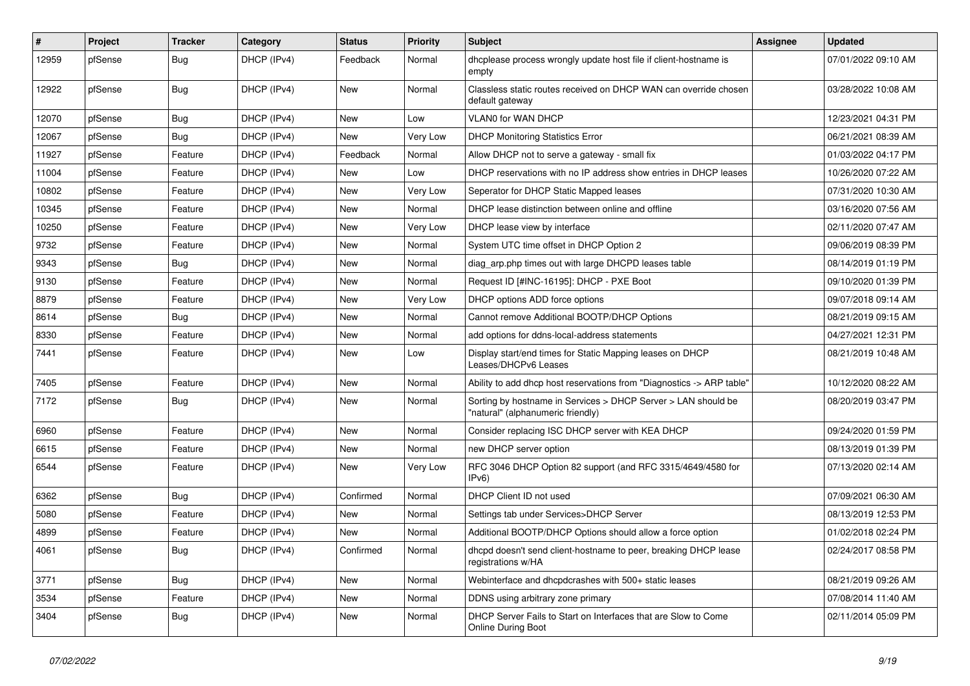| #     | Project | <b>Tracker</b> | Category    | <b>Status</b> | <b>Priority</b> | <b>Subject</b>                                                                                     | <b>Assignee</b> | <b>Updated</b>      |
|-------|---------|----------------|-------------|---------------|-----------------|----------------------------------------------------------------------------------------------------|-----------------|---------------------|
| 12959 | pfSense | <b>Bug</b>     | DHCP (IPv4) | Feedback      | Normal          | dhcplease process wrongly update host file if client-hostname is<br>empty                          |                 | 07/01/2022 09:10 AM |
| 12922 | pfSense | Bug            | DHCP (IPv4) | New           | Normal          | Classless static routes received on DHCP WAN can override chosen<br>default gateway                |                 | 03/28/2022 10:08 AM |
| 12070 | pfSense | <b>Bug</b>     | DHCP (IPv4) | <b>New</b>    | Low             | VLAN0 for WAN DHCP                                                                                 |                 | 12/23/2021 04:31 PM |
| 12067 | pfSense | <b>Bug</b>     | DHCP (IPv4) | New           | Very Low        | <b>DHCP Monitoring Statistics Error</b>                                                            |                 | 06/21/2021 08:39 AM |
| 11927 | pfSense | Feature        | DHCP (IPv4) | Feedback      | Normal          | Allow DHCP not to serve a gateway - small fix                                                      |                 | 01/03/2022 04:17 PM |
| 11004 | pfSense | Feature        | DHCP (IPv4) | New           | Low             | DHCP reservations with no IP address show entries in DHCP leases                                   |                 | 10/26/2020 07:22 AM |
| 10802 | pfSense | Feature        | DHCP (IPv4) | New           | Very Low        | Seperator for DHCP Static Mapped leases                                                            |                 | 07/31/2020 10:30 AM |
| 10345 | pfSense | Feature        | DHCP (IPv4) | New           | Normal          | DHCP lease distinction between online and offline                                                  |                 | 03/16/2020 07:56 AM |
| 10250 | pfSense | Feature        | DHCP (IPv4) | New           | Very Low        | DHCP lease view by interface                                                                       |                 | 02/11/2020 07:47 AM |
| 9732  | pfSense | Feature        | DHCP (IPv4) | New           | Normal          | System UTC time offset in DHCP Option 2                                                            |                 | 09/06/2019 08:39 PM |
| 9343  | pfSense | <b>Bug</b>     | DHCP (IPv4) | New           | Normal          | diag_arp.php times out with large DHCPD leases table                                               |                 | 08/14/2019 01:19 PM |
| 9130  | pfSense | Feature        | DHCP (IPv4) | New           | Normal          | Request ID [#INC-16195]: DHCP - PXE Boot                                                           |                 | 09/10/2020 01:39 PM |
| 8879  | pfSense | Feature        | DHCP (IPv4) | New           | Very Low        | DHCP options ADD force options                                                                     |                 | 09/07/2018 09:14 AM |
| 8614  | pfSense | Bug            | DHCP (IPv4) | New           | Normal          | Cannot remove Additional BOOTP/DHCP Options                                                        |                 | 08/21/2019 09:15 AM |
| 8330  | pfSense | Feature        | DHCP (IPv4) | New           | Normal          | add options for ddns-local-address statements                                                      |                 | 04/27/2021 12:31 PM |
| 7441  | pfSense | Feature        | DHCP (IPv4) | New           | Low             | Display start/end times for Static Mapping leases on DHCP<br>Leases/DHCPv6 Leases                  |                 | 08/21/2019 10:48 AM |
| 7405  | pfSense | Feature        | DHCP (IPv4) | <b>New</b>    | Normal          | Ability to add dhcp host reservations from "Diagnostics -> ARP table"                              |                 | 10/12/2020 08:22 AM |
| 7172  | pfSense | <b>Bug</b>     | DHCP (IPv4) | New           | Normal          | Sorting by hostname in Services > DHCP Server > LAN should be<br>"natural" (alphanumeric friendly) |                 | 08/20/2019 03:47 PM |
| 6960  | pfSense | Feature        | DHCP (IPv4) | <b>New</b>    | Normal          | Consider replacing ISC DHCP server with KEA DHCP                                                   |                 | 09/24/2020 01:59 PM |
| 6615  | pfSense | Feature        | DHCP (IPv4) | New           | Normal          | new DHCP server option                                                                             |                 | 08/13/2019 01:39 PM |
| 6544  | pfSense | Feature        | DHCP (IPv4) | New           | Very Low        | RFC 3046 DHCP Option 82 support (and RFC 3315/4649/4580 for<br>IPv6                                |                 | 07/13/2020 02:14 AM |
| 6362  | pfSense | Bug            | DHCP (IPv4) | Confirmed     | Normal          | DHCP Client ID not used                                                                            |                 | 07/09/2021 06:30 AM |
| 5080  | pfSense | Feature        | DHCP (IPv4) | New           | Normal          | Settings tab under Services>DHCP Server                                                            |                 | 08/13/2019 12:53 PM |
| 4899  | pfSense | Feature        | DHCP (IPv4) | New           | Normal          | Additional BOOTP/DHCP Options should allow a force option                                          |                 | 01/02/2018 02:24 PM |
| 4061  | pfSense | <b>Bug</b>     | DHCP (IPv4) | Confirmed     | Normal          | dhcpd doesn't send client-hostname to peer, breaking DHCP lease<br>registrations w/HA              |                 | 02/24/2017 08:58 PM |
| 3771  | pfSense | <b>Bug</b>     | DHCP (IPv4) | New           | Normal          | Webinterface and dhcpdcrashes with 500+ static leases                                              |                 | 08/21/2019 09:26 AM |
| 3534  | pfSense | Feature        | DHCP (IPv4) | New           | Normal          | DDNS using arbitrary zone primary                                                                  |                 | 07/08/2014 11:40 AM |
| 3404  | pfSense | Bug            | DHCP (IPv4) | New           | Normal          | DHCP Server Fails to Start on Interfaces that are Slow to Come<br>Online During Boot               |                 | 02/11/2014 05:09 PM |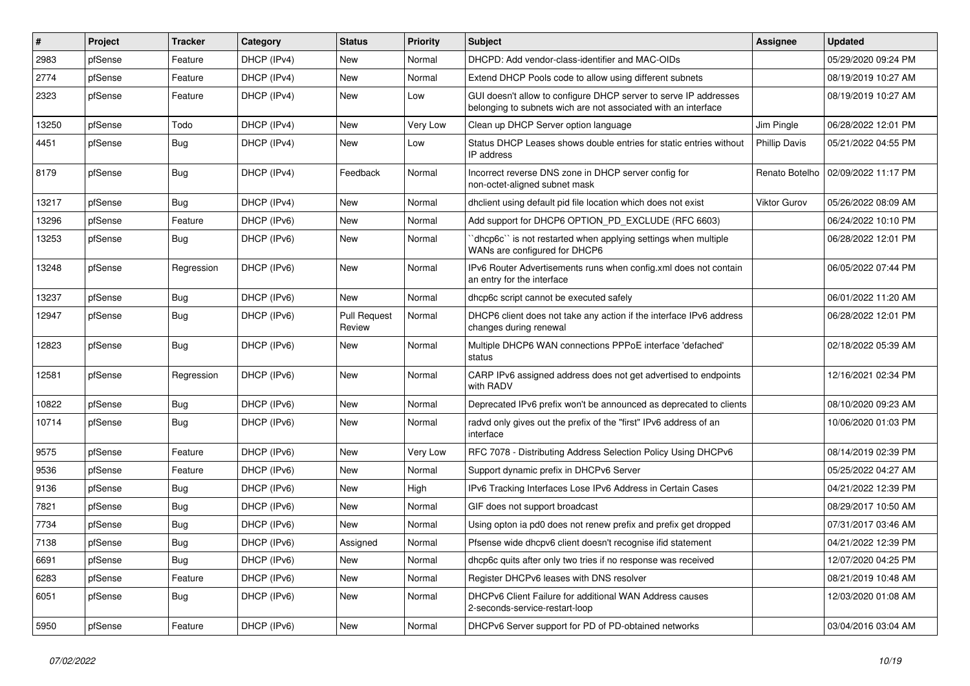| $\vert$ # | Project | <b>Tracker</b> | Category    | <b>Status</b>                 | <b>Priority</b> | <b>Subject</b>                                                                                                                     | <b>Assignee</b>      | <b>Updated</b>      |
|-----------|---------|----------------|-------------|-------------------------------|-----------------|------------------------------------------------------------------------------------------------------------------------------------|----------------------|---------------------|
| 2983      | pfSense | Feature        | DHCP (IPv4) | New                           | Normal          | DHCPD: Add vendor-class-identifier and MAC-OIDs                                                                                    |                      | 05/29/2020 09:24 PM |
| 2774      | pfSense | Feature        | DHCP (IPv4) | New                           | Normal          | Extend DHCP Pools code to allow using different subnets                                                                            |                      | 08/19/2019 10:27 AM |
| 2323      | pfSense | Feature        | DHCP (IPv4) | New                           | Low             | GUI doesn't allow to configure DHCP server to serve IP addresses<br>belonging to subnets wich are not associated with an interface |                      | 08/19/2019 10:27 AM |
| 13250     | pfSense | Todo           | DHCP (IPv4) | New                           | Very Low        | Clean up DHCP Server option language                                                                                               | Jim Pingle           | 06/28/2022 12:01 PM |
| 4451      | pfSense | Bug            | DHCP (IPv4) | New                           | Low             | Status DHCP Leases shows double entries for static entries without<br>IP address                                                   | <b>Phillip Davis</b> | 05/21/2022 04:55 PM |
| 8179      | pfSense | <b>Bug</b>     | DHCP (IPv4) | Feedback                      | Normal          | Incorrect reverse DNS zone in DHCP server config for<br>non-octet-aligned subnet mask                                              | Renato Botelho       | 02/09/2022 11:17 PM |
| 13217     | pfSense | <b>Bug</b>     | DHCP (IPv4) | New                           | Normal          | dholient using default pid file location which does not exist                                                                      | Viktor Gurov         | 05/26/2022 08:09 AM |
| 13296     | pfSense | Feature        | DHCP (IPv6) | New                           | Normal          | Add support for DHCP6 OPTION PD EXCLUDE (RFC 6603)                                                                                 |                      | 06/24/2022 10:10 PM |
| 13253     | pfSense | <b>Bug</b>     | DHCP (IPv6) | New                           | Normal          | dhcp6c" is not restarted when applying settings when multiple<br>WANs are configured for DHCP6                                     |                      | 06/28/2022 12:01 PM |
| 13248     | pfSense | Regression     | DHCP (IPv6) | New                           | Normal          | IPv6 Router Advertisements runs when config.xml does not contain<br>an entry for the interface                                     |                      | 06/05/2022 07:44 PM |
| 13237     | pfSense | Bug            | DHCP (IPv6) | <b>New</b>                    | Normal          | dhcp6c script cannot be executed safely                                                                                            |                      | 06/01/2022 11:20 AM |
| 12947     | pfSense | <b>Bug</b>     | DHCP (IPv6) | <b>Pull Request</b><br>Review | Normal          | DHCP6 client does not take any action if the interface IPv6 address<br>changes during renewal                                      |                      | 06/28/2022 12:01 PM |
| 12823     | pfSense | Bug            | DHCP (IPv6) | New                           | Normal          | Multiple DHCP6 WAN connections PPPoE interface 'defached'<br>status                                                                |                      | 02/18/2022 05:39 AM |
| 12581     | pfSense | Regression     | DHCP (IPv6) | <b>New</b>                    | Normal          | CARP IPv6 assigned address does not get advertised to endpoints<br>with RADV                                                       |                      | 12/16/2021 02:34 PM |
| 10822     | pfSense | <b>Bug</b>     | DHCP (IPv6) | New                           | Normal          | Deprecated IPv6 prefix won't be announced as deprecated to clients                                                                 |                      | 08/10/2020 09:23 AM |
| 10714     | pfSense | <b>Bug</b>     | DHCP (IPv6) | New                           | Normal          | radvd only gives out the prefix of the "first" IPv6 address of an<br>interface                                                     |                      | 10/06/2020 01:03 PM |
| 9575      | pfSense | Feature        | DHCP (IPv6) | New                           | Very Low        | RFC 7078 - Distributing Address Selection Policy Using DHCPv6                                                                      |                      | 08/14/2019 02:39 PM |
| 9536      | pfSense | Feature        | DHCP (IPv6) | New                           | Normal          | Support dynamic prefix in DHCPv6 Server                                                                                            |                      | 05/25/2022 04:27 AM |
| 9136      | pfSense | Bug            | DHCP (IPv6) | New                           | High            | IPv6 Tracking Interfaces Lose IPv6 Address in Certain Cases                                                                        |                      | 04/21/2022 12:39 PM |
| 7821      | pfSense | <b>Bug</b>     | DHCP (IPv6) | New                           | Normal          | GIF does not support broadcast                                                                                                     |                      | 08/29/2017 10:50 AM |
| 7734      | pfSense | <b>Bug</b>     | DHCP (IPv6) | New                           | Normal          | Using opton ia pd0 does not renew prefix and prefix get dropped                                                                    |                      | 07/31/2017 03:46 AM |
| 7138      | pfSense | <b>Bug</b>     | DHCP (IPv6) | Assigned                      | Normal          | Pfsense wide dhcpv6 client doesn't recognise if id statement                                                                       |                      | 04/21/2022 12:39 PM |
| 6691      | pfSense | Bug            | DHCP (IPv6) | New                           | Normal          | dhcp6c quits after only two tries if no response was received                                                                      |                      | 12/07/2020 04:25 PM |
| 6283      | pfSense | Feature        | DHCP (IPv6) | New                           | Normal          | Register DHCPv6 leases with DNS resolver                                                                                           |                      | 08/21/2019 10:48 AM |
| 6051      | pfSense | <b>Bug</b>     | DHCP (IPv6) | <b>New</b>                    | Normal          | DHCPv6 Client Failure for additional WAN Address causes<br>2-seconds-service-restart-loop                                          |                      | 12/03/2020 01:08 AM |
| 5950      | pfSense | Feature        | DHCP (IPv6) | <b>New</b>                    | Normal          | DHCPv6 Server support for PD of PD-obtained networks                                                                               |                      | 03/04/2016 03:04 AM |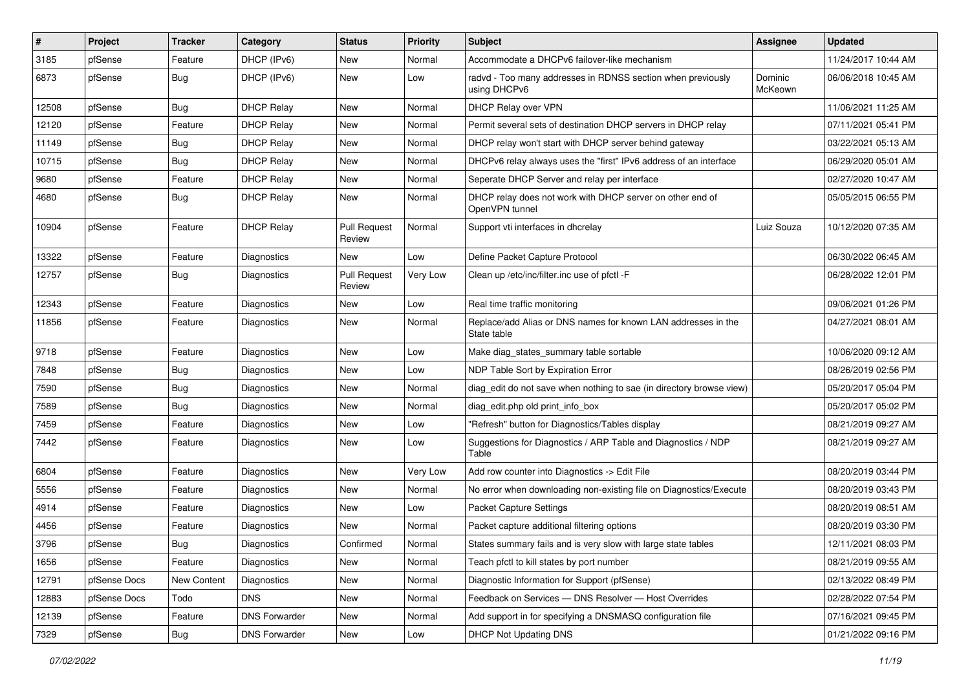| $\sharp$ | Project      | <b>Tracker</b> | Category             | <b>Status</b>                 | <b>Priority</b> | Subject                                                                      | <b>Assignee</b>    | <b>Updated</b>      |
|----------|--------------|----------------|----------------------|-------------------------------|-----------------|------------------------------------------------------------------------------|--------------------|---------------------|
| 3185     | pfSense      | Feature        | DHCP (IPv6)          | New                           | Normal          | Accommodate a DHCPv6 failover-like mechanism                                 |                    | 11/24/2017 10:44 AM |
| 6873     | pfSense      | Bug            | DHCP (IPv6)          | New                           | Low             | radvd - Too many addresses in RDNSS section when previously<br>using DHCPv6  | Dominic<br>McKeown | 06/06/2018 10:45 AM |
| 12508    | pfSense      | <b>Bug</b>     | <b>DHCP Relay</b>    | <b>New</b>                    | Normal          | DHCP Relay over VPN                                                          |                    | 11/06/2021 11:25 AM |
| 12120    | pfSense      | Feature        | <b>DHCP Relay</b>    | New                           | Normal          | Permit several sets of destination DHCP servers in DHCP relay                |                    | 07/11/2021 05:41 PM |
| 11149    | pfSense      | <b>Bug</b>     | <b>DHCP Relay</b>    | New                           | Normal          | DHCP relay won't start with DHCP server behind gateway                       |                    | 03/22/2021 05:13 AM |
| 10715    | pfSense      | <b>Bug</b>     | <b>DHCP Relay</b>    | New                           | Normal          | DHCPv6 relay always uses the "first" IPv6 address of an interface            |                    | 06/29/2020 05:01 AM |
| 9680     | pfSense      | Feature        | <b>DHCP Relay</b>    | New                           | Normal          | Seperate DHCP Server and relay per interface                                 |                    | 02/27/2020 10:47 AM |
| 4680     | pfSense      | <b>Bug</b>     | <b>DHCP Relay</b>    | New                           | Normal          | DHCP relay does not work with DHCP server on other end of<br>OpenVPN tunnel  |                    | 05/05/2015 06:55 PM |
| 10904    | pfSense      | Feature        | <b>DHCP Relay</b>    | <b>Pull Request</b><br>Review | Normal          | Support vti interfaces in dhcrelay                                           | Luiz Souza         | 10/12/2020 07:35 AM |
| 13322    | pfSense      | Feature        | <b>Diagnostics</b>   | <b>New</b>                    | Low             | Define Packet Capture Protocol                                               |                    | 06/30/2022 06:45 AM |
| 12757    | pfSense      | Bug            | Diagnostics          | <b>Pull Request</b><br>Review | Very Low        | Clean up /etc/inc/filter.inc use of pfctl -F                                 |                    | 06/28/2022 12:01 PM |
| 12343    | pfSense      | Feature        | Diagnostics          | <b>New</b>                    | Low             | Real time traffic monitoring                                                 |                    | 09/06/2021 01:26 PM |
| 11856    | pfSense      | Feature        | Diagnostics          | New                           | Normal          | Replace/add Alias or DNS names for known LAN addresses in the<br>State table |                    | 04/27/2021 08:01 AM |
| 9718     | pfSense      | Feature        | Diagnostics          | New                           | Low             | Make diag_states_summary table sortable                                      |                    | 10/06/2020 09:12 AM |
| 7848     | pfSense      | <b>Bug</b>     | Diagnostics          | <b>New</b>                    | Low             | NDP Table Sort by Expiration Error                                           |                    | 08/26/2019 02:56 PM |
| 7590     | pfSense      | <b>Bug</b>     | <b>Diagnostics</b>   | <b>New</b>                    | Normal          | diag_edit do not save when nothing to sae (in directory browse view)         |                    | 05/20/2017 05:04 PM |
| 7589     | pfSense      | <b>Bug</b>     | Diagnostics          | New                           | Normal          | diag edit.php old print info box                                             |                    | 05/20/2017 05:02 PM |
| 7459     | pfSense      | Feature        | Diagnostics          | New                           | Low             | "Refresh" button for Diagnostics/Tables display                              |                    | 08/21/2019 09:27 AM |
| 7442     | pfSense      | Feature        | Diagnostics          | <b>New</b>                    | Low             | Suggestions for Diagnostics / ARP Table and Diagnostics / NDP<br>Table       |                    | 08/21/2019 09:27 AM |
| 6804     | pfSense      | Feature        | Diagnostics          | <b>New</b>                    | Very Low        | Add row counter into Diagnostics -> Edit File                                |                    | 08/20/2019 03:44 PM |
| 5556     | pfSense      | Feature        | Diagnostics          | New                           | Normal          | No error when downloading non-existing file on Diagnostics/Execute           |                    | 08/20/2019 03:43 PM |
| 4914     | pfSense      | Feature        | Diagnostics          | New                           | Low             | Packet Capture Settings                                                      |                    | 08/20/2019 08:51 AM |
| 4456     | pfSense      | Feature        | Diagnostics          | New                           | Normal          | Packet capture additional filtering options                                  |                    | 08/20/2019 03:30 PM |
| 3796     | pfSense      | Bug            | Diagnostics          | Confirmed                     | Normal          | States summary fails and is very slow with large state tables                |                    | 12/11/2021 08:03 PM |
| 1656     | pfSense      | Feature        | Diagnostics          | New                           | Normal          | Teach pfctl to kill states by port number                                    |                    | 08/21/2019 09:55 AM |
| 12791    | pfSense Docs | New Content    | Diagnostics          | <b>New</b>                    | Normal          | Diagnostic Information for Support (pfSense)                                 |                    | 02/13/2022 08:49 PM |
| 12883    | pfSense Docs | Todo           | <b>DNS</b>           | New                           | Normal          | Feedback on Services - DNS Resolver - Host Overrides                         |                    | 02/28/2022 07:54 PM |
| 12139    | pfSense      | Feature        | <b>DNS Forwarder</b> | New                           | Normal          | Add support in for specifying a DNSMASQ configuration file                   |                    | 07/16/2021 09:45 PM |
| 7329     | pfSense      | Bug            | <b>DNS Forwarder</b> | New                           | Low             | <b>DHCP Not Updating DNS</b>                                                 |                    | 01/21/2022 09:16 PM |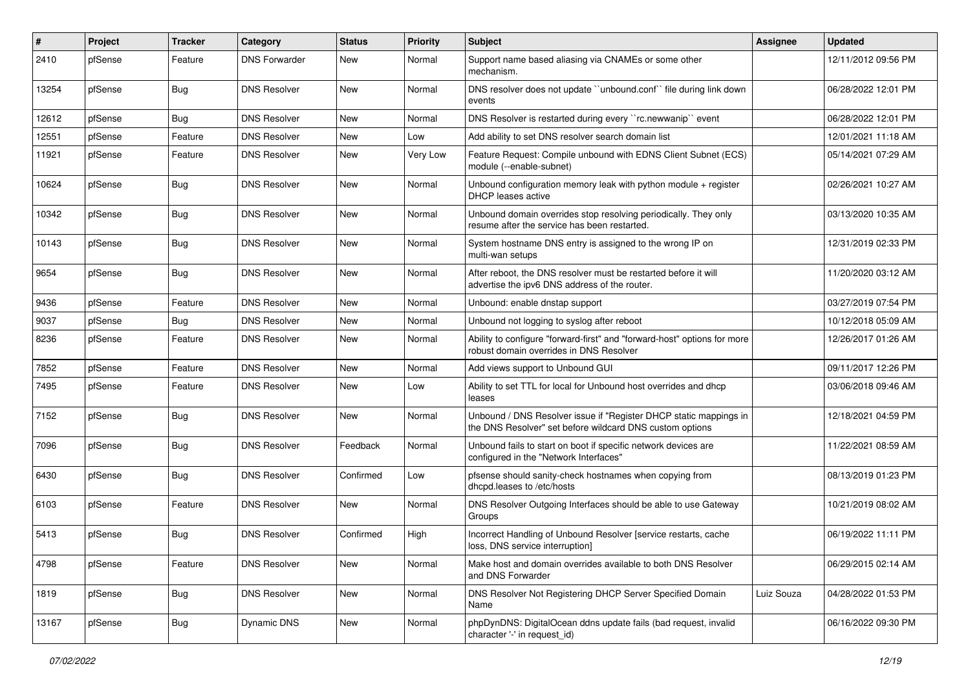| $\vert$ # | Project | <b>Tracker</b> | Category             | <b>Status</b> | <b>Priority</b> | Subject                                                                                                                       | <b>Assignee</b> | <b>Updated</b>      |
|-----------|---------|----------------|----------------------|---------------|-----------------|-------------------------------------------------------------------------------------------------------------------------------|-----------------|---------------------|
| 2410      | pfSense | Feature        | <b>DNS Forwarder</b> | New           | Normal          | Support name based aliasing via CNAMEs or some other<br>mechanism.                                                            |                 | 12/11/2012 09:56 PM |
| 13254     | pfSense | Bug            | <b>DNS Resolver</b>  | New           | Normal          | DNS resolver does not update "unbound.conf" file during link down<br>events                                                   |                 | 06/28/2022 12:01 PM |
| 12612     | pfSense | Bug            | <b>DNS Resolver</b>  | <b>New</b>    | Normal          | DNS Resolver is restarted during every "rc.newwanip" event                                                                    |                 | 06/28/2022 12:01 PM |
| 12551     | pfSense | Feature        | <b>DNS Resolver</b>  | New           | Low             | Add ability to set DNS resolver search domain list                                                                            |                 | 12/01/2021 11:18 AM |
| 11921     | pfSense | Feature        | <b>DNS Resolver</b>  | New           | Very Low        | Feature Request: Compile unbound with EDNS Client Subnet (ECS)<br>module (--enable-subnet)                                    |                 | 05/14/2021 07:29 AM |
| 10624     | pfSense | Bug            | <b>DNS Resolver</b>  | New           | Normal          | Unbound configuration memory leak with python module $+$ register<br>DHCP leases active                                       |                 | 02/26/2021 10:27 AM |
| 10342     | pfSense | Bug            | <b>DNS Resolver</b>  | New           | Normal          | Unbound domain overrides stop resolving periodically. They only<br>resume after the service has been restarted.               |                 | 03/13/2020 10:35 AM |
| 10143     | pfSense | Bug            | <b>DNS Resolver</b>  | New           | Normal          | System hostname DNS entry is assigned to the wrong IP on<br>multi-wan setups                                                  |                 | 12/31/2019 02:33 PM |
| 9654      | pfSense | <b>Bug</b>     | <b>DNS Resolver</b>  | New           | Normal          | After reboot, the DNS resolver must be restarted before it will<br>advertise the ipv6 DNS address of the router.              |                 | 11/20/2020 03:12 AM |
| 9436      | pfSense | Feature        | <b>DNS Resolver</b>  | New           | Normal          | Unbound: enable dnstap support                                                                                                |                 | 03/27/2019 07:54 PM |
| 9037      | pfSense | Bug            | DNS Resolver         | New           | Normal          | Unbound not logging to syslog after reboot                                                                                    |                 | 10/12/2018 05:09 AM |
| 8236      | pfSense | Feature        | <b>DNS Resolver</b>  | New           | Normal          | Ability to configure "forward-first" and "forward-host" options for more<br>robust domain overrides in DNS Resolver           |                 | 12/26/2017 01:26 AM |
| 7852      | pfSense | Feature        | <b>DNS Resolver</b>  | New           | Normal          | Add views support to Unbound GUI                                                                                              |                 | 09/11/2017 12:26 PM |
| 7495      | pfSense | Feature        | <b>DNS Resolver</b>  | New           | Low             | Ability to set TTL for local for Unbound host overrides and dhcp<br>leases                                                    |                 | 03/06/2018 09:46 AM |
| 7152      | pfSense | <b>Bug</b>     | <b>DNS Resolver</b>  | New           | Normal          | Unbound / DNS Resolver issue if "Register DHCP static mappings in<br>the DNS Resolver" set before wildcard DNS custom options |                 | 12/18/2021 04:59 PM |
| 7096      | pfSense | <b>Bug</b>     | <b>DNS Resolver</b>  | Feedback      | Normal          | Unbound fails to start on boot if specific network devices are<br>configured in the "Network Interfaces"                      |                 | 11/22/2021 08:59 AM |
| 6430      | pfSense | Bug            | <b>DNS Resolver</b>  | Confirmed     | Low             | pfsense should sanity-check hostnames when copying from<br>dhcpd.leases to /etc/hosts                                         |                 | 08/13/2019 01:23 PM |
| 6103      | pfSense | Feature        | <b>DNS Resolver</b>  | New           | Normal          | DNS Resolver Outgoing Interfaces should be able to use Gateway<br>Groups                                                      |                 | 10/21/2019 08:02 AM |
| 5413      | pfSense | Bug            | <b>DNS Resolver</b>  | Confirmed     | High            | Incorrect Handling of Unbound Resolver [service restarts, cache<br>loss, DNS service interruption]                            |                 | 06/19/2022 11:11 PM |
| 4798      | pfSense | Feature        | <b>DNS Resolver</b>  | New           | Normal          | Make host and domain overrides available to both DNS Resolver<br>and DNS Forwarder                                            |                 | 06/29/2015 02:14 AM |
| 1819      | pfSense | Bug            | <b>DNS Resolver</b>  | New           | Normal          | DNS Resolver Not Registering DHCP Server Specified Domain<br>Name                                                             | Luiz Souza      | 04/28/2022 01:53 PM |
| 13167     | pfSense | Bug            | <b>Dynamic DNS</b>   | New           | Normal          | phpDynDNS: DigitalOcean ddns update fails (bad request, invalid<br>character '-' in request id)                               |                 | 06/16/2022 09:30 PM |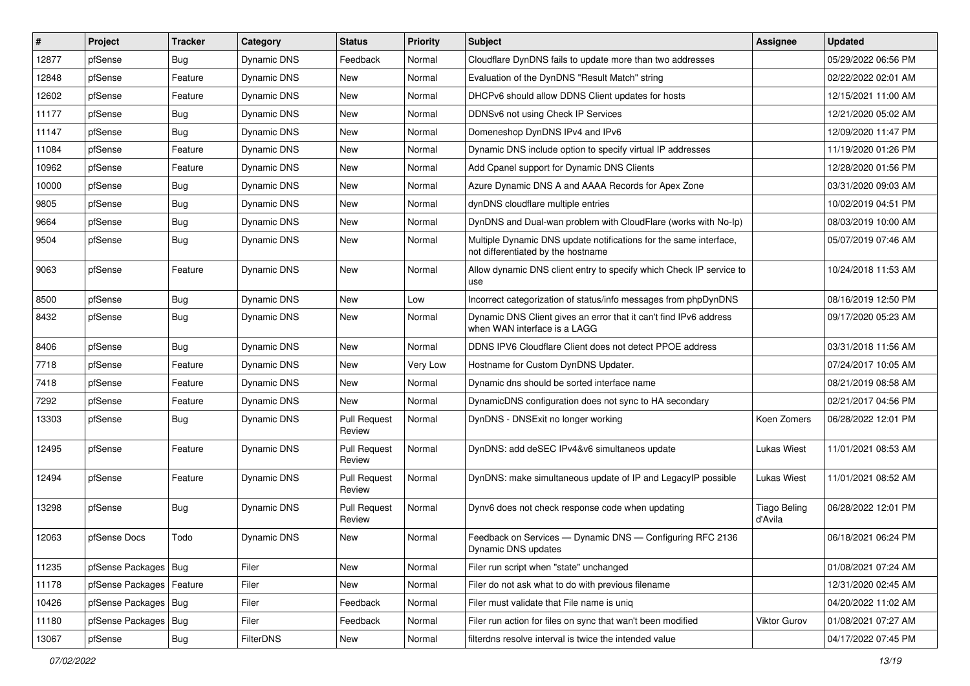| $\vert$ # | Project                | <b>Tracker</b> | Category           | <b>Status</b>                 | <b>Priority</b> | Subject                                                                                                 | <b>Assignee</b>                | <b>Updated</b>      |
|-----------|------------------------|----------------|--------------------|-------------------------------|-----------------|---------------------------------------------------------------------------------------------------------|--------------------------------|---------------------|
| 12877     | pfSense                | Bug            | Dynamic DNS        | Feedback                      | Normal          | Cloudflare DynDNS fails to update more than two addresses                                               |                                | 05/29/2022 06:56 PM |
| 12848     | pfSense                | Feature        | Dynamic DNS        | New                           | Normal          | Evaluation of the DynDNS "Result Match" string                                                          |                                | 02/22/2022 02:01 AM |
| 12602     | pfSense                | Feature        | <b>Dynamic DNS</b> | New                           | Normal          | DHCPv6 should allow DDNS Client updates for hosts                                                       |                                | 12/15/2021 11:00 AM |
| 11177     | pfSense                | <b>Bug</b>     | <b>Dynamic DNS</b> | <b>New</b>                    | Normal          | DDNSv6 not using Check IP Services                                                                      |                                | 12/21/2020 05:02 AM |
| 11147     | pfSense                | <b>Bug</b>     | Dynamic DNS        | New                           | Normal          | Domeneshop DynDNS IPv4 and IPv6                                                                         |                                | 12/09/2020 11:47 PM |
| 11084     | pfSense                | Feature        | Dynamic DNS        | New                           | Normal          | Dynamic DNS include option to specify virtual IP addresses                                              |                                | 11/19/2020 01:26 PM |
| 10962     | pfSense                | Feature        | Dynamic DNS        | <b>New</b>                    | Normal          | Add Cpanel support for Dynamic DNS Clients                                                              |                                | 12/28/2020 01:56 PM |
| 10000     | pfSense                | <b>Bug</b>     | Dynamic DNS        | <b>New</b>                    | Normal          | Azure Dynamic DNS A and AAAA Records for Apex Zone                                                      |                                | 03/31/2020 09:03 AM |
| 9805      | pfSense                | <b>Bug</b>     | Dynamic DNS        | New                           | Normal          | dynDNS cloudflare multiple entries                                                                      |                                | 10/02/2019 04:51 PM |
| 9664      | pfSense                | <b>Bug</b>     | Dynamic DNS        | <b>New</b>                    | Normal          | DynDNS and Dual-wan problem with CloudFlare (works with No-Ip)                                          |                                | 08/03/2019 10:00 AM |
| 9504      | pfSense                | <b>Bug</b>     | Dynamic DNS        | New                           | Normal          | Multiple Dynamic DNS update notifications for the same interface,<br>not differentiated by the hostname |                                | 05/07/2019 07:46 AM |
| 9063      | pfSense                | Feature        | Dynamic DNS        | <b>New</b>                    | Normal          | Allow dynamic DNS client entry to specify which Check IP service to<br>use                              |                                | 10/24/2018 11:53 AM |
| 8500      | pfSense                | <b>Bug</b>     | Dynamic DNS        | <b>New</b>                    | Low             | Incorrect categorization of status/info messages from phpDynDNS                                         |                                | 08/16/2019 12:50 PM |
| 8432      | pfSense                | <b>Bug</b>     | Dynamic DNS        | <b>New</b>                    | Normal          | Dynamic DNS Client gives an error that it can't find IPv6 address<br>when WAN interface is a LAGG       |                                | 09/17/2020 05:23 AM |
| 8406      | pfSense                | <b>Bug</b>     | Dynamic DNS        | New                           | Normal          | DDNS IPV6 Cloudflare Client does not detect PPOE address                                                |                                | 03/31/2018 11:56 AM |
| 7718      | pfSense                | Feature        | Dynamic DNS        | New                           | Very Low        | Hostname for Custom DynDNS Updater.                                                                     |                                | 07/24/2017 10:05 AM |
| 7418      | pfSense                | Feature        | Dynamic DNS        | New                           | Normal          | Dynamic dns should be sorted interface name                                                             |                                | 08/21/2019 08:58 AM |
| 7292      | pfSense                | Feature        | Dynamic DNS        | <b>New</b>                    | Normal          | DynamicDNS configuration does not sync to HA secondary                                                  |                                | 02/21/2017 04:56 PM |
| 13303     | pfSense                | Bug            | Dynamic DNS        | <b>Pull Request</b><br>Review | Normal          | DynDNS - DNSExit no longer working                                                                      | Koen Zomers                    | 06/28/2022 12:01 PM |
| 12495     | pfSense                | Feature        | Dynamic DNS        | <b>Pull Request</b><br>Review | Normal          | DynDNS: add deSEC IPv4&v6 simultaneos update                                                            | <b>Lukas Wiest</b>             | 11/01/2021 08:53 AM |
| 12494     | pfSense                | Feature        | Dynamic DNS        | <b>Pull Request</b><br>Review | Normal          | DynDNS: make simultaneous update of IP and LegacyIP possible                                            | <b>Lukas Wiest</b>             | 11/01/2021 08:52 AM |
| 13298     | pfSense                | Bug            | <b>Dynamic DNS</b> | <b>Pull Request</b><br>Review | Normal          | Dynv6 does not check response code when updating                                                        | <b>Tiago Beling</b><br>d'Avila | 06/28/2022 12:01 PM |
| 12063     | pfSense Docs           | Todo           | <b>Dynamic DNS</b> | New                           | Normal          | Feedback on Services — Dynamic DNS — Configuring RFC 2136<br>Dynamic DNS updates                        |                                | 06/18/2021 06:24 PM |
| 11235     | pfSense Packages Bug   |                | Filer              | New                           | Normal          | Filer run script when "state" unchanged                                                                 |                                | 01/08/2021 07:24 AM |
| 11178     | pfSense Packages       | Feature        | Filer              | New                           | Normal          | Filer do not ask what to do with previous filename                                                      |                                | 12/31/2020 02:45 AM |
| 10426     | pfSense Packages   Bug |                | Filer              | Feedback                      | Normal          | Filer must validate that File name is uniq                                                              |                                | 04/20/2022 11:02 AM |
| 11180     | pfSense Packages       | Bug            | Filer              | Feedback                      | Normal          | Filer run action for files on sync that wan't been modified                                             | Viktor Gurov                   | 01/08/2021 07:27 AM |
| 13067     | pfSense                | Bug            | FilterDNS          | New                           | Normal          | filterdns resolve interval is twice the intended value                                                  |                                | 04/17/2022 07:45 PM |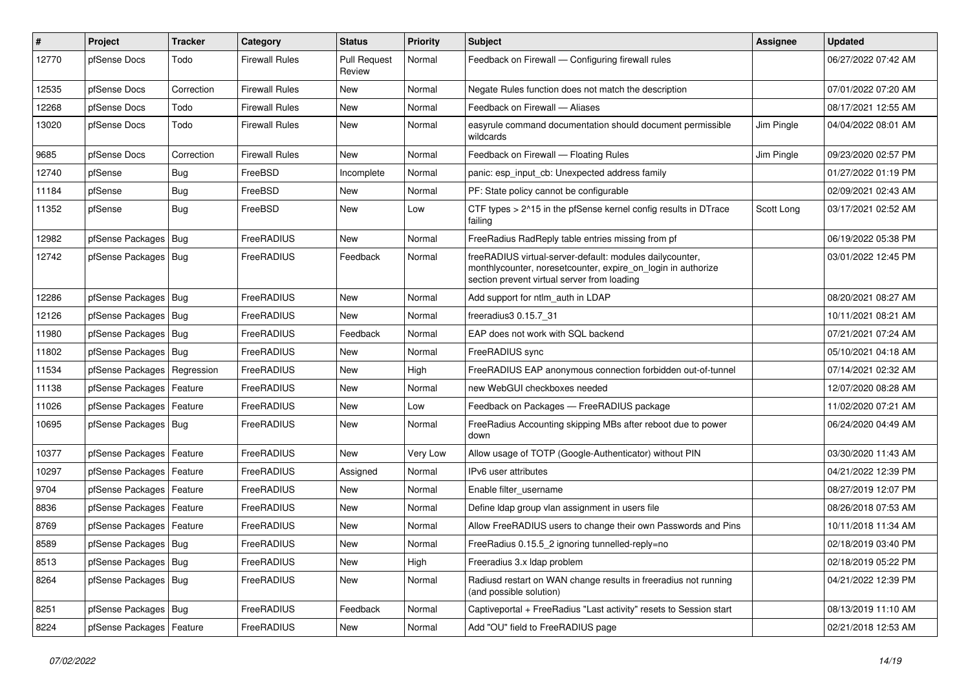| $\sharp$ | Project                       | <b>Tracker</b> | Category              | <b>Status</b>                 | <b>Priority</b> | Subject                                                                                                                                                                 | <b>Assignee</b> | <b>Updated</b>      |
|----------|-------------------------------|----------------|-----------------------|-------------------------------|-----------------|-------------------------------------------------------------------------------------------------------------------------------------------------------------------------|-----------------|---------------------|
| 12770    | pfSense Docs                  | Todo           | Firewall Rules        | <b>Pull Request</b><br>Review | Normal          | Feedback on Firewall — Configuring firewall rules                                                                                                                       |                 | 06/27/2022 07:42 AM |
| 12535    | pfSense Docs                  | Correction     | <b>Firewall Rules</b> | <b>New</b>                    | Normal          | Negate Rules function does not match the description                                                                                                                    |                 | 07/01/2022 07:20 AM |
| 12268    | pfSense Docs                  | Todo           | <b>Firewall Rules</b> | New                           | Normal          | Feedback on Firewall - Aliases                                                                                                                                          |                 | 08/17/2021 12:55 AM |
| 13020    | pfSense Docs                  | Todo           | <b>Firewall Rules</b> | New                           | Normal          | easyrule command documentation should document permissible<br>wildcards                                                                                                 | Jim Pingle      | 04/04/2022 08:01 AM |
| 9685     | pfSense Docs                  | Correction     | <b>Firewall Rules</b> | <b>New</b>                    | Normal          | Feedback on Firewall - Floating Rules                                                                                                                                   | Jim Pingle      | 09/23/2020 02:57 PM |
| 12740    | pfSense                       | Bug            | FreeBSD               | Incomplete                    | Normal          | panic: esp input cb: Unexpected address family                                                                                                                          |                 | 01/27/2022 01:19 PM |
| 11184    | pfSense                       | <b>Bug</b>     | FreeBSD               | New                           | Normal          | PF: State policy cannot be configurable                                                                                                                                 |                 | 02/09/2021 02:43 AM |
| 11352    | pfSense                       | Bug            | FreeBSD               | New                           | Low             | CTF types > 2^15 in the pfSense kernel config results in DTrace<br>failing                                                                                              | Scott Long      | 03/17/2021 02:52 AM |
| 12982    | pfSense Packages   Bug        |                | FreeRADIUS            | New                           | Normal          | FreeRadius RadReply table entries missing from pf                                                                                                                       |                 | 06/19/2022 05:38 PM |
| 12742    | pfSense Packages   Bug        |                | FreeRADIUS            | Feedback                      | Normal          | freeRADIUS virtual-server-default: modules dailycounter,<br>monthlycounter, noresetcounter, expire_on_login in authorize<br>section prevent virtual server from loading |                 | 03/01/2022 12:45 PM |
| 12286    | pfSense Packages              | Bug            | FreeRADIUS            | <b>New</b>                    | Normal          | Add support for ntlm auth in LDAP                                                                                                                                       |                 | 08/20/2021 08:27 AM |
| 12126    | pfSense Packages Bug          |                | FreeRADIUS            | New                           | Normal          | freeradius3 0.15.7 31                                                                                                                                                   |                 | 10/11/2021 08:21 AM |
| 11980    | pfSense Packages   Bug        |                | FreeRADIUS            | Feedback                      | Normal          | EAP does not work with SQL backend                                                                                                                                      |                 | 07/21/2021 07:24 AM |
| 11802    | pfSense Packages   Bug        |                | FreeRADIUS            | New                           | Normal          | FreeRADIUS sync                                                                                                                                                         |                 | 05/10/2021 04:18 AM |
| 11534    | pfSense Packages   Regression |                | FreeRADIUS            | New                           | High            | FreeRADIUS EAP anonymous connection forbidden out-of-tunnel                                                                                                             |                 | 07/14/2021 02:32 AM |
| 11138    | pfSense Packages              | Feature        | FreeRADIUS            | New                           | Normal          | new WebGUI checkboxes needed                                                                                                                                            |                 | 12/07/2020 08:28 AM |
| 11026    | pfSense Packages              | Feature        | FreeRADIUS            | New                           | Low             | Feedback on Packages - FreeRADIUS package                                                                                                                               |                 | 11/02/2020 07:21 AM |
| 10695    | pfSense Packages   Bug        |                | FreeRADIUS            | New                           | Normal          | FreeRadius Accounting skipping MBs after reboot due to power<br>down                                                                                                    |                 | 06/24/2020 04:49 AM |
| 10377    | pfSense Packages   Feature    |                | FreeRADIUS            | <b>New</b>                    | Very Low        | Allow usage of TOTP (Google-Authenticator) without PIN                                                                                                                  |                 | 03/30/2020 11:43 AM |
| 10297    | pfSense Packages              | Feature        | FreeRADIUS            | Assigned                      | Normal          | IPv6 user attributes                                                                                                                                                    |                 | 04/21/2022 12:39 PM |
| 9704     | pfSense Packages   Feature    |                | FreeRADIUS            | New                           | Normal          | Enable filter username                                                                                                                                                  |                 | 08/27/2019 12:07 PM |
| 8836     | pfSense Packages   Feature    |                | FreeRADIUS            | New                           | Normal          | Define Idap group vlan assignment in users file                                                                                                                         |                 | 08/26/2018 07:53 AM |
| 8769     | pfSense Packages   Feature    |                | FreeRADIUS            | New                           | Normal          | Allow FreeRADIUS users to change their own Passwords and Pins                                                                                                           |                 | 10/11/2018 11:34 AM |
| 8589     | pfSense Packages   Bug        |                | FreeRADIUS            | New                           | Normal          | FreeRadius 0.15.5 2 ignoring tunnelled-reply=no                                                                                                                         |                 | 02/18/2019 03:40 PM |
| 8513     | pfSense Packages   Bug        |                | FreeRADIUS            | New                           | High            | Freeradius 3.x Idap problem                                                                                                                                             |                 | 02/18/2019 05:22 PM |
| 8264     | pfSense Packages   Bug        |                | FreeRADIUS            | New                           | Normal          | Radiusd restart on WAN change results in freeradius not running<br>(and possible solution)                                                                              |                 | 04/21/2022 12:39 PM |
| 8251     | pfSense Packages   Bug        |                | FreeRADIUS            | Feedback                      | Normal          | Captiveportal + FreeRadius "Last activity" resets to Session start                                                                                                      |                 | 08/13/2019 11:10 AM |
| 8224     | pfSense Packages              | Feature        | FreeRADIUS            | New                           | Normal          | Add "OU" field to FreeRADIUS page                                                                                                                                       |                 | 02/21/2018 12:53 AM |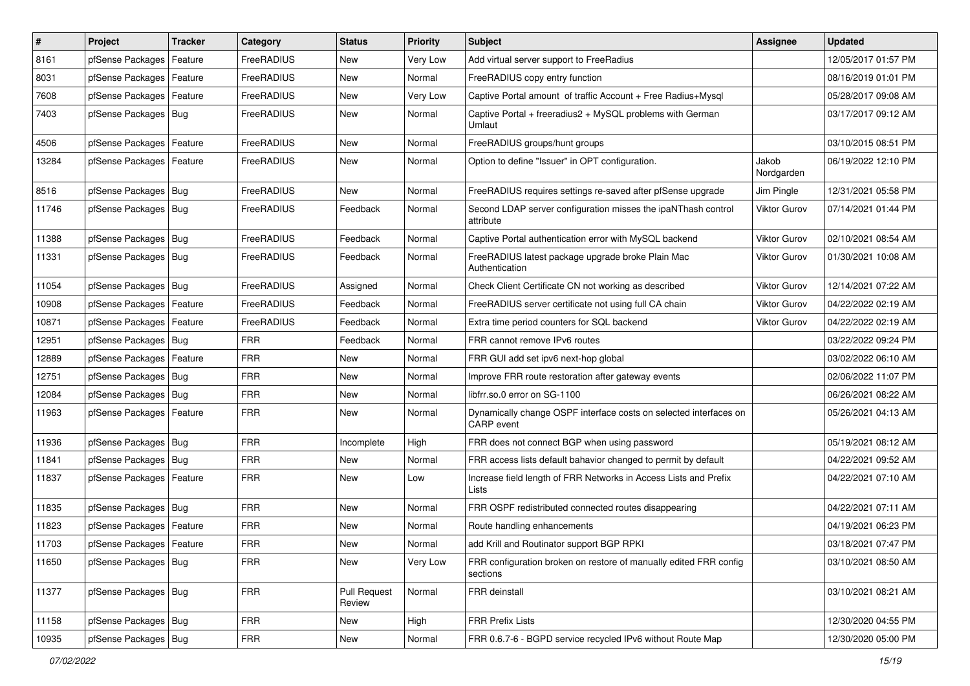| $\vert$ # | Project                    | <b>Tracker</b> | Category   | <b>Status</b>                 | <b>Priority</b> | Subject                                                                                | Assignee            | <b>Updated</b>      |
|-----------|----------------------------|----------------|------------|-------------------------------|-----------------|----------------------------------------------------------------------------------------|---------------------|---------------------|
| 8161      | pfSense Packages           | Feature        | FreeRADIUS | New                           | Very Low        | Add virtual server support to FreeRadius                                               |                     | 12/05/2017 01:57 PM |
| 8031      | pfSense Packages   Feature |                | FreeRADIUS | New                           | Normal          | FreeRADIUS copy entry function                                                         |                     | 08/16/2019 01:01 PM |
| 7608      | pfSense Packages           | Feature        | FreeRADIUS | New                           | Very Low        | Captive Portal amount of traffic Account + Free Radius+Mysql                           |                     | 05/28/2017 09:08 AM |
| 7403      | pfSense Packages   Bug     |                | FreeRADIUS | New                           | Normal          | Captive Portal + freeradius2 + MySQL problems with German<br>Umlaut                    |                     | 03/17/2017 09:12 AM |
| 4506      | pfSense Packages   Feature |                | FreeRADIUS | New                           | Normal          | FreeRADIUS groups/hunt groups                                                          |                     | 03/10/2015 08:51 PM |
| 13284     | pfSense Packages   Feature |                | FreeRADIUS | New                           | Normal          | Option to define "Issuer" in OPT configuration.                                        | Jakob<br>Nordgarden | 06/19/2022 12:10 PM |
| 8516      | pfSense Packages   Bug     |                | FreeRADIUS | New                           | Normal          | FreeRADIUS requires settings re-saved after pfSense upgrade                            | Jim Pingle          | 12/31/2021 05:58 PM |
| 11746     | pfSense Packages   Bug     |                | FreeRADIUS | Feedback                      | Normal          | Second LDAP server configuration misses the ipaNThash control<br>attribute             | <b>Viktor Gurov</b> | 07/14/2021 01:44 PM |
| 11388     | pfSense Packages   Bug     |                | FreeRADIUS | Feedback                      | Normal          | Captive Portal authentication error with MySQL backend                                 | Viktor Gurov        | 02/10/2021 08:54 AM |
| 11331     | pfSense Packages   Bug     |                | FreeRADIUS | Feedback                      | Normal          | FreeRADIUS latest package upgrade broke Plain Mac<br>Authentication                    | <b>Viktor Gurov</b> | 01/30/2021 10:08 AM |
| 11054     | pfSense Packages   Bug     |                | FreeRADIUS | Assigned                      | Normal          | Check Client Certificate CN not working as described                                   | Viktor Gurov        | 12/14/2021 07:22 AM |
| 10908     | pfSense Packages   Feature |                | FreeRADIUS | Feedback                      | Normal          | FreeRADIUS server certificate not using full CA chain                                  | Viktor Gurov        | 04/22/2022 02:19 AM |
| 10871     | pfSense Packages   Feature |                | FreeRADIUS | Feedback                      | Normal          | Extra time period counters for SQL backend                                             | <b>Viktor Gurov</b> | 04/22/2022 02:19 AM |
| 12951     | pfSense Packages Bug       |                | <b>FRR</b> | Feedback                      | Normal          | FRR cannot remove IPv6 routes                                                          |                     | 03/22/2022 09:24 PM |
| 12889     | pfSense Packages   Feature |                | <b>FRR</b> | New                           | Normal          | FRR GUI add set ipv6 next-hop global                                                   |                     | 03/02/2022 06:10 AM |
| 12751     | pfSense Packages   Bug     |                | <b>FRR</b> | <b>New</b>                    | Normal          | Improve FRR route restoration after gateway events                                     |                     | 02/06/2022 11:07 PM |
| 12084     | pfSense Packages   Bug     |                | <b>FRR</b> | New                           | Normal          | libfrr.so.0 error on SG-1100                                                           |                     | 06/26/2021 08:22 AM |
| 11963     | pfSense Packages   Feature |                | <b>FRR</b> | New                           | Normal          | Dynamically change OSPF interface costs on selected interfaces on<br><b>CARP</b> event |                     | 05/26/2021 04:13 AM |
| 11936     | pfSense Packages   Bug     |                | <b>FRR</b> | Incomplete                    | High            | FRR does not connect BGP when using password                                           |                     | 05/19/2021 08:12 AM |
| 11841     | pfSense Packages   Bug     |                | <b>FRR</b> | New                           | Normal          | FRR access lists default bahavior changed to permit by default                         |                     | 04/22/2021 09:52 AM |
| 11837     | pfSense Packages   Feature |                | <b>FRR</b> | New                           | Low             | Increase field length of FRR Networks in Access Lists and Prefix<br>Lists              |                     | 04/22/2021 07:10 AM |
| 11835     | pfSense Packages   Bug     |                | <b>FRR</b> | New                           | Normal          | FRR OSPF redistributed connected routes disappearing                                   |                     | 04/22/2021 07:11 AM |
| 11823     | pfSense Packages   Feature |                | <b>FRR</b> | <b>New</b>                    | Normal          | Route handling enhancements                                                            |                     | 04/19/2021 06:23 PM |
| 11703     | pfSense Packages   Feature |                | <b>FRR</b> | New                           | Normal          | add Krill and Routinator support BGP RPKI                                              |                     | 03/18/2021 07:47 PM |
| 11650     | pfSense Packages   Bug     |                | <b>FRR</b> | New                           | Very Low        | FRR configuration broken on restore of manually edited FRR config<br>sections          |                     | 03/10/2021 08:50 AM |
| 11377     | pfSense Packages   Bug     |                | <b>FRR</b> | <b>Pull Request</b><br>Review | Normal          | FRR deinstall                                                                          |                     | 03/10/2021 08:21 AM |
| 11158     | pfSense Packages   Bug     |                | <b>FRR</b> | New                           | High            | <b>FRR Prefix Lists</b>                                                                |                     | 12/30/2020 04:55 PM |
| 10935     | pfSense Packages Bug       |                | <b>FRR</b> | New                           | Normal          | FRR 0.6.7-6 - BGPD service recycled IPv6 without Route Map                             |                     | 12/30/2020 05:00 PM |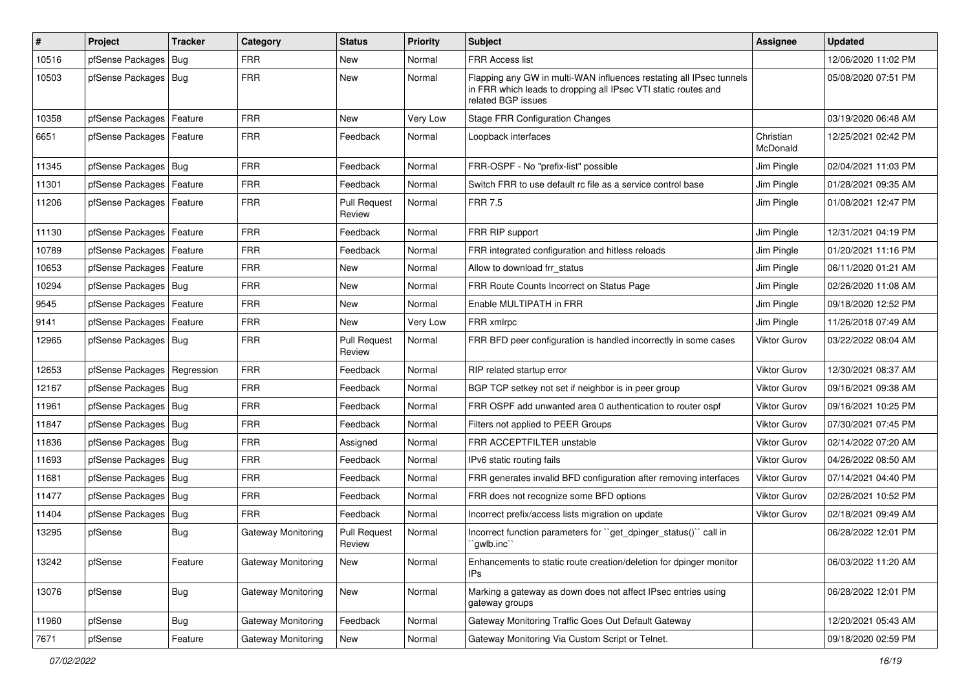| $\pmb{\#}$ | Project                       | <b>Tracker</b> | Category           | <b>Status</b>                 | <b>Priority</b> | <b>Subject</b>                                                                                                                                              | Assignee              | <b>Updated</b>      |
|------------|-------------------------------|----------------|--------------------|-------------------------------|-----------------|-------------------------------------------------------------------------------------------------------------------------------------------------------------|-----------------------|---------------------|
| 10516      | pfSense Packages              | Bug            | <b>FRR</b>         | New                           | Normal          | FRR Access list                                                                                                                                             |                       | 12/06/2020 11:02 PM |
| 10503      | pfSense Packages   Bug        |                | <b>FRR</b>         | <b>New</b>                    | Normal          | Flapping any GW in multi-WAN influences restating all IPsec tunnels<br>in FRR which leads to dropping all IPsec VTI static routes and<br>related BGP issues |                       | 05/08/2020 07:51 PM |
| 10358      | pfSense Packages   Feature    |                | <b>FRR</b>         | <b>New</b>                    | Very Low        | <b>Stage FRR Configuration Changes</b>                                                                                                                      |                       | 03/19/2020 06:48 AM |
| 6651       | pfSense Packages   Feature    |                | <b>FRR</b>         | Feedback                      | Normal          | Loopback interfaces                                                                                                                                         | Christian<br>McDonald | 12/25/2021 02:42 PM |
| 11345      | pfSense Packages   Bug        |                | <b>FRR</b>         | Feedback                      | Normal          | FRR-OSPF - No "prefix-list" possible                                                                                                                        | Jim Pingle            | 02/04/2021 11:03 PM |
| 11301      | pfSense Packages              | Feature        | <b>FRR</b>         | Feedback                      | Normal          | Switch FRR to use default rc file as a service control base                                                                                                 | Jim Pingle            | 01/28/2021 09:35 AM |
| 11206      | pfSense Packages   Feature    |                | <b>FRR</b>         | <b>Pull Request</b><br>Review | Normal          | <b>FRR 7.5</b>                                                                                                                                              | Jim Pingle            | 01/08/2021 12:47 PM |
| 11130      | pfSense Packages              | Feature        | <b>FRR</b>         | Feedback                      | Normal          | FRR RIP support                                                                                                                                             | Jim Pingle            | 12/31/2021 04:19 PM |
| 10789      | pfSense Packages              | Feature        | <b>FRR</b>         | Feedback                      | Normal          | FRR integrated configuration and hitless reloads                                                                                                            | Jim Pingle            | 01/20/2021 11:16 PM |
| 10653      | pfSense Packages              | Feature        | <b>FRR</b>         | New                           | Normal          | Allow to download frr status                                                                                                                                | Jim Pingle            | 06/11/2020 01:21 AM |
| 10294      | pfSense Packages   Bug        |                | <b>FRR</b>         | New                           | Normal          | FRR Route Counts Incorrect on Status Page                                                                                                                   | Jim Pingle            | 02/26/2020 11:08 AM |
| 9545       | pfSense Packages              | Feature        | <b>FRR</b>         | New                           | Normal          | Enable MULTIPATH in FRR                                                                                                                                     | Jim Pingle            | 09/18/2020 12:52 PM |
| 9141       | pfSense Packages              | Feature        | <b>FRR</b>         | New                           | Very Low        | FRR xmlrpc                                                                                                                                                  | Jim Pingle            | 11/26/2018 07:49 AM |
| 12965      | pfSense Packages   Bug        |                | <b>FRR</b>         | <b>Pull Request</b><br>Review | Normal          | FRR BFD peer configuration is handled incorrectly in some cases                                                                                             | <b>Viktor Gurov</b>   | 03/22/2022 08:04 AM |
| 12653      | pfSense Packages   Regression |                | <b>FRR</b>         | Feedback                      | Normal          | RIP related startup error                                                                                                                                   | Viktor Gurov          | 12/30/2021 08:37 AM |
| 12167      | pfSense Packages   Bug        |                | <b>FRR</b>         | Feedback                      | Normal          | BGP TCP setkey not set if neighbor is in peer group                                                                                                         | Viktor Gurov          | 09/16/2021 09:38 AM |
| 11961      | pfSense Packages   Bug        |                | <b>FRR</b>         | Feedback                      | Normal          | FRR OSPF add unwanted area 0 authentication to router ospf                                                                                                  | <b>Viktor Gurov</b>   | 09/16/2021 10:25 PM |
| 11847      | pfSense Packages   Bug        |                | <b>FRR</b>         | Feedback                      | Normal          | Filters not applied to PEER Groups                                                                                                                          | Viktor Gurov          | 07/30/2021 07:45 PM |
| 11836      | pfSense Packages              | Bug            | <b>FRR</b>         | Assigned                      | Normal          | FRR ACCEPTFILTER unstable                                                                                                                                   | Viktor Gurov          | 02/14/2022 07:20 AM |
| 11693      | pfSense Packages   Bug        |                | <b>FRR</b>         | Feedback                      | Normal          | IPv6 static routing fails                                                                                                                                   | Viktor Gurov          | 04/26/2022 08:50 AM |
| 11681      | pfSense Packages Bug          |                | <b>FRR</b>         | Feedback                      | Normal          | FRR generates invalid BFD configuration after removing interfaces                                                                                           | Viktor Gurov          | 07/14/2021 04:40 PM |
| 11477      | pfSense Packages   Bug        |                | <b>FRR</b>         | Feedback                      | Normal          | FRR does not recognize some BFD options                                                                                                                     | <b>Viktor Gurov</b>   | 02/26/2021 10:52 PM |
| 11404      | pfSense Packages              | Bug            | <b>FRR</b>         | Feedback                      | Normal          | Incorrect prefix/access lists migration on update                                                                                                           | Viktor Gurov          | 02/18/2021 09:49 AM |
| 13295      | pfSense                       | <b>Bug</b>     | Gateway Monitoring | <b>Pull Request</b><br>Review | Normal          | Incorrect function parameters for "get_dpinger_status()" call in<br>`gwlb.inc``                                                                             |                       | 06/28/2022 12:01 PM |
| 13242      | pfSense                       | Feature        | Gateway Monitoring | New                           | Normal          | Enhancements to static route creation/deletion for dpinger monitor<br>IPs                                                                                   |                       | 06/03/2022 11:20 AM |
| 13076      | pfSense                       | Bug            | Gateway Monitoring | New                           | Normal          | Marking a gateway as down does not affect IPsec entries using<br>gateway groups                                                                             |                       | 06/28/2022 12:01 PM |
| 11960      | pfSense                       | Bug            | Gateway Monitoring | Feedback                      | Normal          | Gateway Monitoring Traffic Goes Out Default Gateway                                                                                                         |                       | 12/20/2021 05:43 AM |
| 7671       | pfSense                       | Feature        | Gateway Monitoring | New                           | Normal          | Gateway Monitoring Via Custom Script or Telnet.                                                                                                             |                       | 09/18/2020 02:59 PM |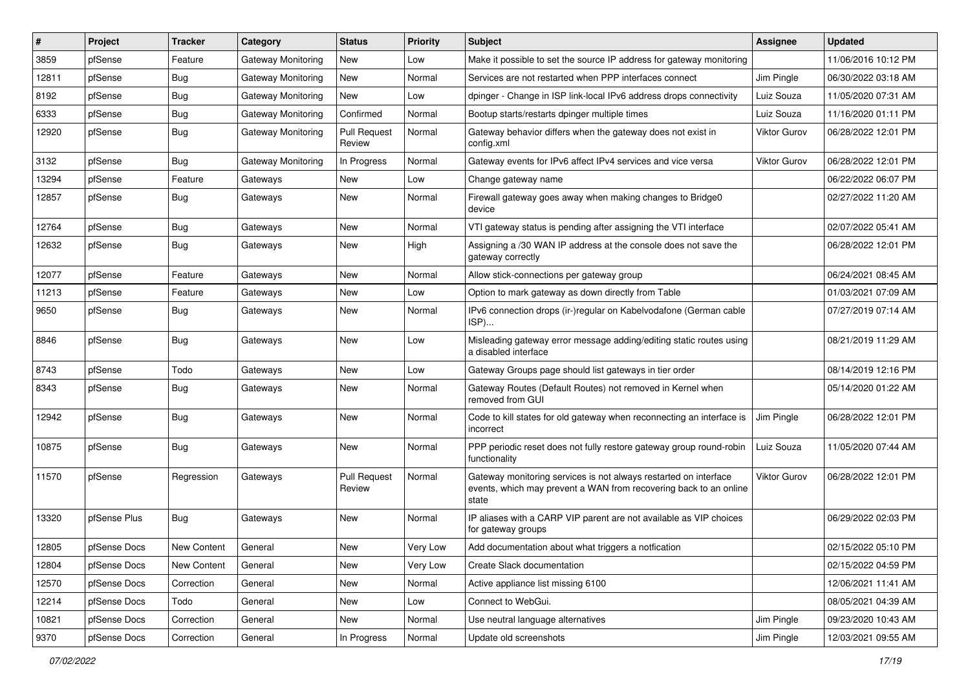| ∦     | Project      | <b>Tracker</b> | Category           | <b>Status</b>                 | <b>Priority</b> | <b>Subject</b>                                                                                                                                 | Assignee     | <b>Updated</b>      |
|-------|--------------|----------------|--------------------|-------------------------------|-----------------|------------------------------------------------------------------------------------------------------------------------------------------------|--------------|---------------------|
| 3859  | pfSense      | Feature        | Gateway Monitoring | New                           | Low             | Make it possible to set the source IP address for gateway monitoring                                                                           |              | 11/06/2016 10:12 PM |
| 12811 | pfSense      | Bug            | Gateway Monitoring | New                           | Normal          | Services are not restarted when PPP interfaces connect                                                                                         | Jim Pingle   | 06/30/2022 03:18 AM |
| 8192  | pfSense      | <b>Bug</b>     | Gateway Monitoring | New                           | Low             | dpinger - Change in ISP link-local IPv6 address drops connectivity                                                                             | Luiz Souza   | 11/05/2020 07:31 AM |
| 6333  | pfSense      | <b>Bug</b>     | Gateway Monitoring | Confirmed                     | Normal          | Bootup starts/restarts dpinger multiple times                                                                                                  | Luiz Souza   | 11/16/2020 01:11 PM |
| 12920 | pfSense      | <b>Bug</b>     | Gateway Monitoring | <b>Pull Request</b><br>Review | Normal          | Gateway behavior differs when the gateway does not exist in<br>config.xml                                                                      | Viktor Gurov | 06/28/2022 12:01 PM |
| 3132  | pfSense      | Bug            | Gateway Monitoring | In Progress                   | Normal          | Gateway events for IPv6 affect IPv4 services and vice versa                                                                                    | Viktor Gurov | 06/28/2022 12:01 PM |
| 13294 | pfSense      | Feature        | Gateways           | New                           | Low             | Change gateway name                                                                                                                            |              | 06/22/2022 06:07 PM |
| 12857 | pfSense      | <b>Bug</b>     | Gateways           | <b>New</b>                    | Normal          | Firewall gateway goes away when making changes to Bridge0<br>device                                                                            |              | 02/27/2022 11:20 AM |
| 12764 | pfSense      | <b>Bug</b>     | Gateways           | New                           | Normal          | VTI gateway status is pending after assigning the VTI interface                                                                                |              | 02/07/2022 05:41 AM |
| 12632 | pfSense      | <b>Bug</b>     | Gateways           | <b>New</b>                    | High            | Assigning a /30 WAN IP address at the console does not save the<br>gateway correctly                                                           |              | 06/28/2022 12:01 PM |
| 12077 | pfSense      | Feature        | Gateways           | New                           | Normal          | Allow stick-connections per gateway group                                                                                                      |              | 06/24/2021 08:45 AM |
| 11213 | pfSense      | Feature        | Gateways           | New                           | Low             | Option to mark gateway as down directly from Table                                                                                             |              | 01/03/2021 07:09 AM |
| 9650  | pfSense      | <b>Bug</b>     | Gateways           | New                           | Normal          | IPv6 connection drops (ir-)regular on Kabelvodafone (German cable<br>ISP)                                                                      |              | 07/27/2019 07:14 AM |
| 8846  | pfSense      | Bug            | Gateways           | <b>New</b>                    | Low             | Misleading gateway error message adding/editing static routes using<br>a disabled interface                                                    |              | 08/21/2019 11:29 AM |
| 8743  | pfSense      | Todo           | Gateways           | <b>New</b>                    | Low             | Gateway Groups page should list gateways in tier order                                                                                         |              | 08/14/2019 12:16 PM |
| 8343  | pfSense      | <b>Bug</b>     | Gateways           | New                           | Normal          | Gateway Routes (Default Routes) not removed in Kernel when<br>removed from GUI                                                                 |              | 05/14/2020 01:22 AM |
| 12942 | pfSense      | <b>Bug</b>     | Gateways           | <b>New</b>                    | Normal          | Code to kill states for old gateway when reconnecting an interface is<br>incorrect                                                             | Jim Pingle   | 06/28/2022 12:01 PM |
| 10875 | pfSense      | <b>Bug</b>     | Gateways           | New                           | Normal          | PPP periodic reset does not fully restore gateway group round-robin<br>functionality                                                           | Luiz Souza   | 11/05/2020 07:44 AM |
| 11570 | pfSense      | Regression     | Gateways           | <b>Pull Request</b><br>Review | Normal          | Gateway monitoring services is not always restarted on interface<br>events, which may prevent a WAN from recovering back to an online<br>state | Viktor Gurov | 06/28/2022 12:01 PM |
| 13320 | pfSense Plus | Bug            | Gateways           | New                           | Normal          | IP aliases with a CARP VIP parent are not available as VIP choices<br>for gateway groups                                                       |              | 06/29/2022 02:03 PM |
| 12805 | pfSense Docs | New Content    | General            | New                           | Very Low        | Add documentation about what triggers a notfication                                                                                            |              | 02/15/2022 05:10 PM |
| 12804 | pfSense Docs | New Content    | General            | New                           | Very Low        | Create Slack documentation                                                                                                                     |              | 02/15/2022 04:59 PM |
| 12570 | pfSense Docs | Correction     | General            | New                           | Normal          | Active appliance list missing 6100                                                                                                             |              | 12/06/2021 11:41 AM |
| 12214 | pfSense Docs | Todo           | General            | New                           | Low             | Connect to WebGui.                                                                                                                             |              | 08/05/2021 04:39 AM |
| 10821 | pfSense Docs | Correction     | General            | New                           | Normal          | Use neutral language alternatives                                                                                                              | Jim Pingle   | 09/23/2020 10:43 AM |
| 9370  | pfSense Docs | Correction     | General            | In Progress                   | Normal          | Update old screenshots                                                                                                                         | Jim Pingle   | 12/03/2021 09:55 AM |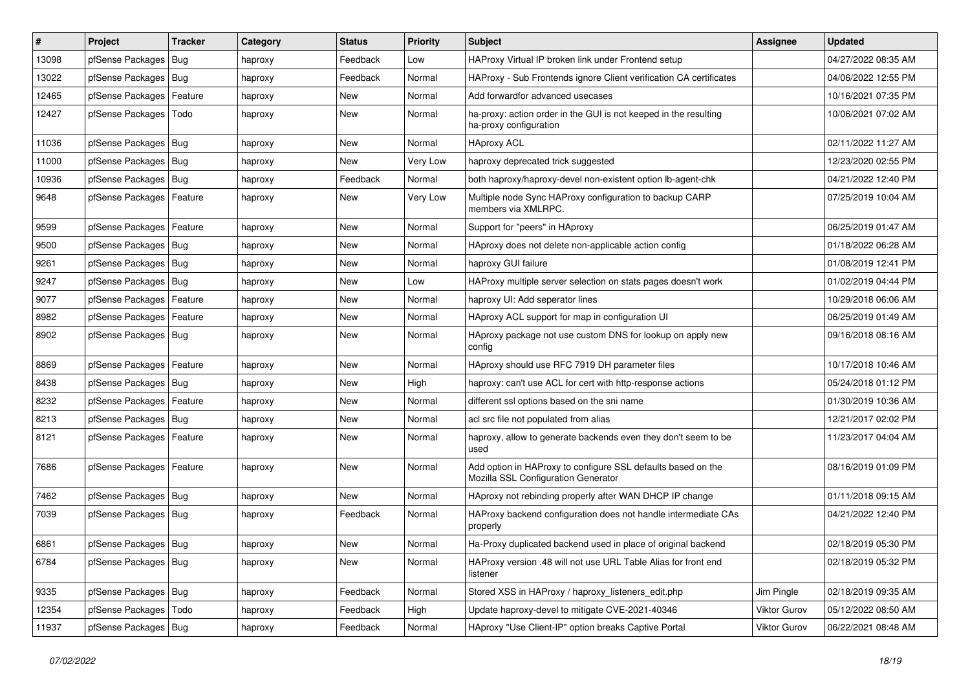| #     | Project                    | <b>Tracker</b> | Category | <b>Status</b> | <b>Priority</b> | <b>Subject</b>                                                                                      | <b>Assignee</b> | <b>Updated</b>      |
|-------|----------------------------|----------------|----------|---------------|-----------------|-----------------------------------------------------------------------------------------------------|-----------------|---------------------|
| 13098 | pfSense Packages           | Bug            | haproxy  | Feedback      | Low             | HAProxy Virtual IP broken link under Frontend setup                                                 |                 | 04/27/2022 08:35 AM |
| 13022 | pfSense Packages   Bug     |                | haproxy  | Feedback      | Normal          | HAProxy - Sub Frontends ignore Client verification CA certificates                                  |                 | 04/06/2022 12:55 PM |
| 12465 | pfSense Packages           | Feature        | haproxy  | New           | Normal          | Add forwardfor advanced usecases                                                                    |                 | 10/16/2021 07:35 PM |
| 12427 | pfSense Packages   Todo    |                | haproxy  | New           | Normal          | ha-proxy: action order in the GUI is not keeped in the resulting<br>ha-proxy configuration          |                 | 10/06/2021 07:02 AM |
| 11036 | pfSense Packages   Bug     |                | haproxy  | New           | Normal          | <b>HAproxy ACL</b>                                                                                  |                 | 02/11/2022 11:27 AM |
| 11000 | pfSense Packages   Bug     |                | haproxy  | New           | Very Low        | haproxy deprecated trick suggested                                                                  |                 | 12/23/2020 02:55 PM |
| 10936 | pfSense Packages   Bug     |                | haproxy  | Feedback      | Normal          | both haproxy/haproxy-devel non-existent option lb-agent-chk                                         |                 | 04/21/2022 12:40 PM |
| 9648  | pfSense Packages   Feature |                | haproxy  | New           | Very Low        | Multiple node Sync HAProxy configuration to backup CARP<br>members via XMLRPC.                      |                 | 07/25/2019 10:04 AM |
| 9599  | pfSense Packages   Feature |                | haproxy  | New           | Normal          | Support for "peers" in HAproxy                                                                      |                 | 06/25/2019 01:47 AM |
| 9500  | pfSense Packages   Bug     |                | haproxy  | New           | Normal          | HAproxy does not delete non-applicable action config                                                |                 | 01/18/2022 06:28 AM |
| 9261  | pfSense Packages           | Bug            | haproxy  | <b>New</b>    | Normal          | haproxy GUI failure                                                                                 |                 | 01/08/2019 12:41 PM |
| 9247  | pfSense Packages   Bug     |                | haproxy  | New           | Low             | HAProxy multiple server selection on stats pages doesn't work                                       |                 | 01/02/2019 04:44 PM |
| 9077  | pfSense Packages   Feature |                | haproxy  | New           | Normal          | haproxy UI: Add seperator lines                                                                     |                 | 10/29/2018 06:06 AM |
| 8982  | pfSense Packages           | Feature        | haproxy  | New           | Normal          | HAproxy ACL support for map in configuration UI                                                     |                 | 06/25/2019 01:49 AM |
| 8902  | pfSense Packages   Bug     |                | haproxy  | New           | Normal          | HAproxy package not use custom DNS for lookup on apply new<br>config                                |                 | 09/16/2018 08:16 AM |
| 8869  | pfSense Packages           | Feature        | haproxy  | New           | Normal          | HAproxy should use RFC 7919 DH parameter files                                                      |                 | 10/17/2018 10:46 AM |
| 8438  | pfSense Packages   Bug     |                | haproxy  | New           | High            | haproxy: can't use ACL for cert with http-response actions                                          |                 | 05/24/2018 01:12 PM |
| 8232  | pfSense Packages           | Feature        | haproxy  | <b>New</b>    | Normal          | different ssl options based on the sni name                                                         |                 | 01/30/2019 10:36 AM |
| 8213  | pfSense Packages   Bug     |                | haproxy  | <b>New</b>    | Normal          | acl src file not populated from alias                                                               |                 | 12/21/2017 02:02 PM |
| 8121  | pfSense Packages   Feature |                | haproxy  | <b>New</b>    | Normal          | haproxy, allow to generate backends even they don't seem to be<br>used                              |                 | 11/23/2017 04:04 AM |
| 7686  | pfSense Packages   Feature |                | haproxy  | <b>New</b>    | Normal          | Add option in HAProxy to configure SSL defaults based on the<br>Mozilla SSL Configuration Generator |                 | 08/16/2019 01:09 PM |
| 7462  | pfSense Packages   Bug     |                | haproxy  | New           | Normal          | HAproxy not rebinding properly after WAN DHCP IP change                                             |                 | 01/11/2018 09:15 AM |
| 7039  | pfSense Packages   Bug     |                | haproxy  | Feedback      | Normal          | HAProxy backend configuration does not handle intermediate CAs<br>properly                          |                 | 04/21/2022 12:40 PM |
| 6861  | pfSense Packages   Bug     |                | haproxy  | New           | Normal          | Ha-Proxy duplicated backend used in place of original backend                                       |                 | 02/18/2019 05:30 PM |
| 6784  | pfSense Packages   Bug     |                | haproxy  | New           | Normal          | HAProxy version .48 will not use URL Table Alias for front end<br>listener                          |                 | 02/18/2019 05:32 PM |
| 9335  | pfSense Packages   Bug     |                | haproxy  | Feedback      | Normal          | Stored XSS in HAProxy / haproxy_listeners_edit.php                                                  | Jim Pingle      | 02/18/2019 09:35 AM |
| 12354 | pfSense Packages   Todo    |                | haproxy  | Feedback      | High            | Update haproxy-devel to mitigate CVE-2021-40346                                                     | Viktor Gurov    | 05/12/2022 08:50 AM |
| 11937 | pfSense Packages   Bug     |                | haproxy  | Feedback      | Normal          | HAproxy "Use Client-IP" option breaks Captive Portal                                                | Viktor Gurov    | 06/22/2021 08:48 AM |